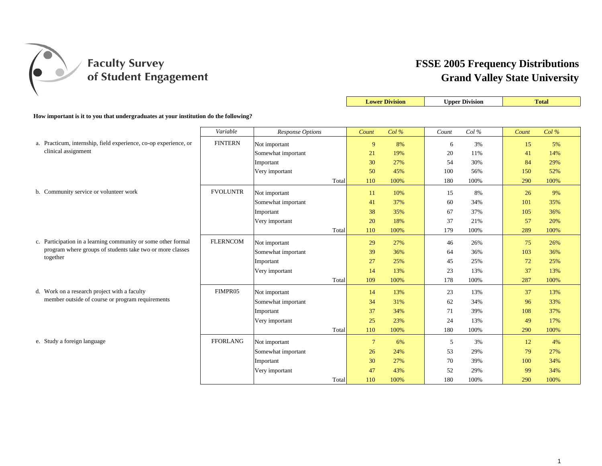

|                                                                                         |                 |                    |       |                | <b>Lower Division</b> |       | <b>Upper Division</b> |       | Total   |
|-----------------------------------------------------------------------------------------|-----------------|--------------------|-------|----------------|-----------------------|-------|-----------------------|-------|---------|
| How important is it to you that undergraduates at your institution do the following?    |                 |                    |       |                |                       |       |                       |       |         |
|                                                                                         | Variable        | Response Options   |       | Count          | Col%                  | Count | Col%                  | Count | $Col\%$ |
|                                                                                         |                 |                    |       |                |                       |       |                       |       |         |
| a. Practicum, internship, field experience, co-op experience, or<br>clinical assignment | <b>FINTERN</b>  | Not important      |       | 9              | 8%                    | 6     | 3%                    | 15    | 5%      |
|                                                                                         |                 | Somewhat important |       | 21             | 19%                   | 20    | 11%                   | 41    | 14%     |
|                                                                                         |                 | Important          |       | 30             | 27%                   | 54    | 30%                   | 84    | 29%     |
|                                                                                         |                 | Very important     |       | 50             | 45%                   | 100   | 56%                   | 150   | 52%     |
|                                                                                         |                 |                    | Total | 110            | 100%                  | 180   | 100%                  | 290   | 100%    |
| b. Community service or volunteer work                                                  | <b>FVOLUNTR</b> | Not important      |       | 11             | 10%                   | 15    | 8%                    | 26    | 9%      |
|                                                                                         |                 | Somewhat important |       | 41             | 37%                   | 60    | 34%                   | 101   | 35%     |
|                                                                                         |                 | Important          |       | 38             | 35%                   | 67    | 37%                   | 105   | 36%     |
|                                                                                         |                 | Very important     |       | 20             | 18%                   | 37    | 21%                   | 57    | 20%     |
|                                                                                         |                 |                    | Total | 110            | 100%                  | 179   | 100%                  | 289   | 100%    |
| c. Participation in a learning community or some other formal                           | <b>FLERNCOM</b> | Not important      |       | 29             | 27%                   | 46    | 26%                   | 75    | 26%     |
| program where groups of students take two or more classes                               |                 | Somewhat important |       | 39             | 36%                   | 64    | 36%                   | 103   | 36%     |
| together                                                                                |                 | Important          |       | 27             | 25%                   | 45    | 25%                   | 72    | 25%     |
|                                                                                         |                 | Very important     |       | 14             | 13%                   | 23    | 13%                   | 37    | 13%     |
|                                                                                         |                 |                    | Total | 109            | 100%                  | 178   | 100%                  | 287   | 100%    |
| d. Work on a research project with a faculty                                            | FIMPR05         | Not important      |       | 14             | 13%                   | 23    | 13%                   | 37    | 13%     |
| member outside of course or program requirements                                        |                 | Somewhat important |       | 34             | 31%                   | 62    | 34%                   | 96    | 33%     |
|                                                                                         |                 | Important          |       | 37             | 34%                   | 71    | 39%                   | 108   | 37%     |
|                                                                                         |                 | Very important     |       | 25             | 23%                   | 24    | 13%                   | 49    | 17%     |
|                                                                                         |                 |                    | Total | 110            | 100%                  | 180   | 100%                  | 290   | 100%    |
| e. Study a foreign language                                                             | <b>FFORLANG</b> | Not important      |       | $\overline{7}$ | 6%                    | 5     | 3%                    | 12    | 4%      |
|                                                                                         |                 | Somewhat important |       | 26             | 24%                   | 53    | 29%                   | 79    | 27%     |
|                                                                                         |                 | Important          |       | 30             | 27%                   | 70    | 39%                   | 100   | 34%     |
|                                                                                         |                 | Very important     |       | 47             | 43%                   | 52    | 29%                   | 99    | 34%     |
|                                                                                         |                 |                    | Total | 110            | 100%                  | 180   | 100%                  | 290   | 100%    |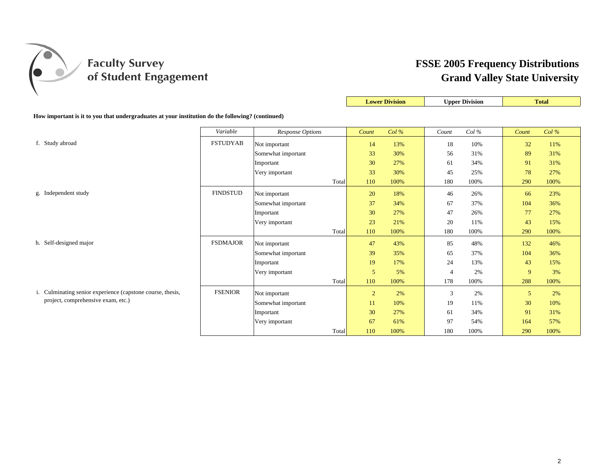

|                                                                                                  |                 |                    |                | <b>Lower Division</b> |                | <b>Upper Division</b> |       | <b>Total</b> |
|--------------------------------------------------------------------------------------------------|-----------------|--------------------|----------------|-----------------------|----------------|-----------------------|-------|--------------|
| How important is it to you that undergraduates at your institution do the following? (continued) |                 |                    |                |                       |                |                       |       |              |
|                                                                                                  | Variable        | Response Options   | Count          | $Col\%$               | Count          | Col%                  | Count | Col%         |
| f. Study abroad                                                                                  | <b>FSTUDYAB</b> | Not important      | 14             | 13%                   | 18             | 10%                   | 32    | 11%          |
|                                                                                                  |                 | Somewhat important | 33             | 30%                   | 56             | 31%                   | 89    | 31%          |
|                                                                                                  |                 | Important          | 30             | 27%                   | 61             | 34%                   | 91    | 31%          |
|                                                                                                  |                 | Very important     | 33             | 30%                   | 45             | 25%                   | 78    | 27%          |
|                                                                                                  |                 | Total              | 110            | 100%                  | 180            | 100%                  | 290   | 100%         |
| g. Independent study                                                                             | <b>FINDSTUD</b> | Not important      | 20             | 18%                   | 46             | 26%                   | 66    | 23%          |
|                                                                                                  |                 | Somewhat important | 37             | 34%                   | 67             | 37%                   | 104   | 36%          |
|                                                                                                  |                 | Important          | 30             | 27%                   | 47             | 26%                   | 77    | 27%          |
|                                                                                                  |                 | Very important     | 23             | 21%                   | 20             | 11%                   | 43    | 15%          |
|                                                                                                  |                 | Total              | 110            | 100%                  | 180            | 100%                  | 290   | 100%         |
| h. Self-designed major                                                                           | <b>FSDMAJOR</b> | Not important      | 47             | 43%                   | 85             | 48%                   | 132   | 46%          |
|                                                                                                  |                 | Somewhat important | 39             | 35%                   | 65             | 37%                   | 104   | 36%          |
|                                                                                                  |                 | Important          | 19             | 17%                   | 24             | 13%                   | 43    | 15%          |
|                                                                                                  |                 | Very important     | 5              | 5%                    | $\overline{4}$ | 2%                    | 9     | 3%           |
|                                                                                                  |                 | Total              | 110            | 100%                  | 178            | 100%                  | 288   | 100%         |
| i. Culminating senior experience (capstone course, thesis,                                       | <b>FSENIOR</b>  | Not important      | $\overline{2}$ | 2%                    | 3              | 2%                    | 5     | 2%           |
| project, comprehensive exam, etc.)                                                               |                 | Somewhat important | 11             | 10%                   | 19             | 11%                   | 30    | 10%          |
|                                                                                                  |                 | Important          | 30             | 27%                   | 61             | 34%                   | 91    | 31%          |
|                                                                                                  |                 | Very important     | 67             | 61%                   | 97             | 54%                   | 164   | 57%          |
|                                                                                                  |                 | Total              | 110            | 100%                  | 180            | 100%                  | 290   | 100%         |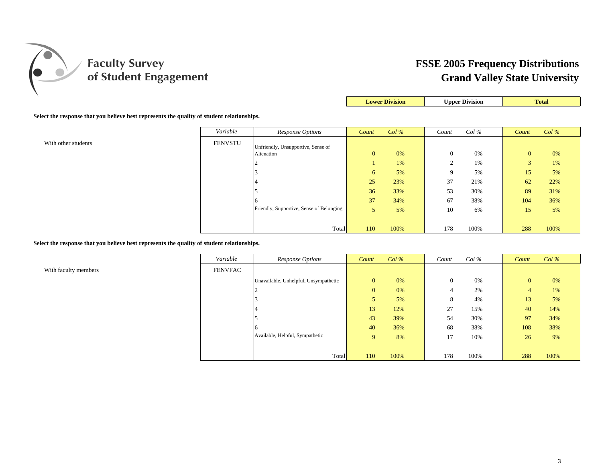

| <b>Lower Division</b> | <b>Upper Division</b> |  |
|-----------------------|-----------------------|--|
|                       |                       |  |

**Select the response that you believe best represents the quality of student relationships.**

|                     | Variable       | Response Options                         | Count        | $Col\%$ | Count          | $Col\%$ | Count          | Col% |
|---------------------|----------------|------------------------------------------|--------------|---------|----------------|---------|----------------|------|
| With other students | <b>FENVSTU</b> | Unfriendly, Unsupportive, Sense of       |              |         |                |         |                |      |
|                     |                | Alienation                               | $\mathbf{0}$ | 0%      | $\overline{0}$ | 0%      | $\overline{0}$ | 0%   |
|                     |                |                                          |              | 1%      |                | 1%      | 3              | 1%   |
|                     |                |                                          | 6            | 5%      | $\mathbf Q$    | 5%      | 15             | 5%   |
|                     |                |                                          | 25           | 23%     | 37             | 21%     | 62             | 22%  |
|                     |                |                                          | 36           | 33%     | 53             | 30%     | 89             | 31%  |
|                     |                |                                          | 37           | 34%     | 67             | 38%     | 104            | 36%  |
|                     |                | Friendly, Supportive, Sense of Belonging | 5            | 5%      | 10             | 6%      | 15             | 5%   |
|                     |                |                                          |              |         |                |         |                |      |
|                     |                | Total                                    | 110          | 100%    | 178            | 100%    | 288            | 100% |

**Select the response that you believe best represents the quality of student relationships.**

With faculty members

| Variable       | Response Options                      | Count        | $Col\%$ | Count    | $Col\%$ | Count          | $Col\%$ |
|----------------|---------------------------------------|--------------|---------|----------|---------|----------------|---------|
| <b>FENVFAC</b> |                                       |              |         |          |         |                |         |
|                | Unavailable, Unhelpful, Unsympathetic | $\mathbf{0}$ | 0%      | $\theta$ | 0%      | $\mathbf{0}$   | 0%      |
|                |                                       | $\mathbf{0}$ | 0%      | 4        | 2%      | $\overline{4}$ | 1%      |
|                |                                       | 5            | 5%      | 8        | 4%      | 13             | 5%      |
|                |                                       | 13           | 12%     | 27       | 15%     | 40             | 14%     |
|                |                                       | 43           | 39%     | 54       | 30%     | 97             | 34%     |
|                |                                       | 40           | 36%     | 68       | 38%     | 108            | 38%     |
|                | Available, Helpful, Sympathetic       | 9            | 8%      | 17       | 10%     | 26             | 9%      |
|                |                                       |              |         |          |         |                |         |
|                | Total                                 | 110          | 100%    | 178      | 100%    | 288            | 100%    |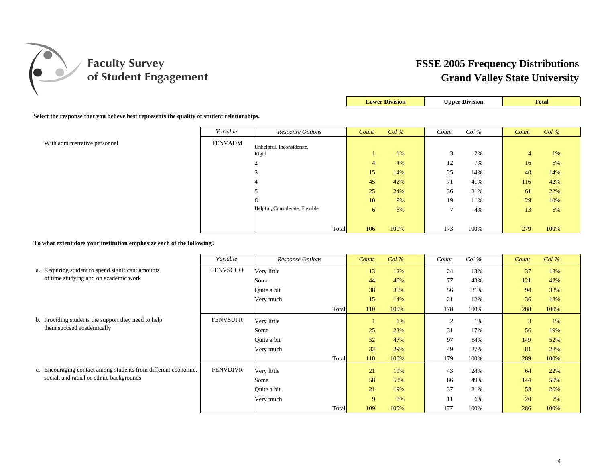

|--|

#### **Select the response that you believe best represents the quality of student relationships.**

|                               | Variable       | Response Options               |       | Count          | $Col\%$ | Count             | $Col\%$ | Count          | $Col\%$ |
|-------------------------------|----------------|--------------------------------|-------|----------------|---------|-------------------|---------|----------------|---------|
| With administrative personnel | <b>FENVADM</b> | Unhelpful, Inconsiderate,      |       |                |         |                   |         |                |         |
|                               |                | Rigid                          |       |                | 1%      | $\mathbf{\Omega}$ | 2%      | $\overline{4}$ | 1%      |
|                               |                |                                |       | $\overline{4}$ | 4%      | 12                | 7%      | 16             | 6%      |
|                               |                |                                |       | 15             | 14%     | 25                | 14%     | 40             | 14%     |
|                               |                |                                |       | 45             | 42%     | 71                | 41%     | 116            | 42%     |
|                               |                |                                |       | 25             | 24%     | 36                | 21%     | 61             | 22%     |
|                               |                |                                |       | 10             | 9%      | 19                | 11%     | 29             | 10%     |
|                               |                | Helpful, Considerate, Flexible |       | 6              | 6%      | ⇁                 | 4%      | 13             | 5%      |
|                               |                |                                |       |                |         |                   |         |                |         |
|                               |                |                                | Total | 106            | 100%    | 173               | 100%    | 279            | 100%    |

**To what extent does your institution emphasize each of the following?**

|                                                                | Variable        | Response Options |       | Count | $Col\%$ | Count          | $Col\%$ | Count | Col% |
|----------------------------------------------------------------|-----------------|------------------|-------|-------|---------|----------------|---------|-------|------|
| a. Requiring student to spend significant amounts              | <b>FENVSCHO</b> | Very little      |       | 13    | 12%     | 24             | 13%     | 37    | 13%  |
| of time studying and on academic work                          |                 | Some             |       | 44    | 40%     | 77             | 43%     | 121   | 42%  |
|                                                                |                 | Quite a bit      |       | 38    | 35%     | 56             | 31%     | 94    | 33%  |
|                                                                |                 | Very much        |       | 15    | 14%     | 21             | 12%     | 36    | 13%  |
|                                                                |                 |                  | Total | 110   | 100%    | 178            | 100%    | 288   | 100% |
| b. Providing students the support they need to help            | <b>FENVSUPR</b> | Very little      |       |       | 1%      | $\overline{2}$ | 1%      | 3     | 1%   |
| them succeed academically                                      |                 | Some             |       | 25    | 23%     | 31             | 17%     | 56    | 19%  |
|                                                                |                 | Ouite a bit      |       | 52    | 47%     | 97             | 54%     | 149   | 52%  |
|                                                                |                 | Very much        |       | 32    | 29%     | 49             | 27%     | 81    | 28%  |
|                                                                |                 |                  | Total | 110   | 100%    | 179            | 100%    | 289   | 100% |
| c. Encouraging contact among students from different economic, | <b>FENVDIVR</b> | Very little      |       | 21    | 19%     | 43             | 24%     | 64    | 22%  |
| social, and racial or ethnic backgrounds                       |                 | Some             |       | 58    | 53%     | 86             | 49%     | 144   | 50%  |
|                                                                |                 | Quite a bit      |       | 21    | 19%     | 37             | 21%     | 58    | 20%  |
|                                                                |                 | Very much        |       | 9     | 8%      |                | 6%      | 20    | 7%   |
|                                                                |                 |                  | Total | 109   | 100%    | 177            | 100%    | 286   | 100% |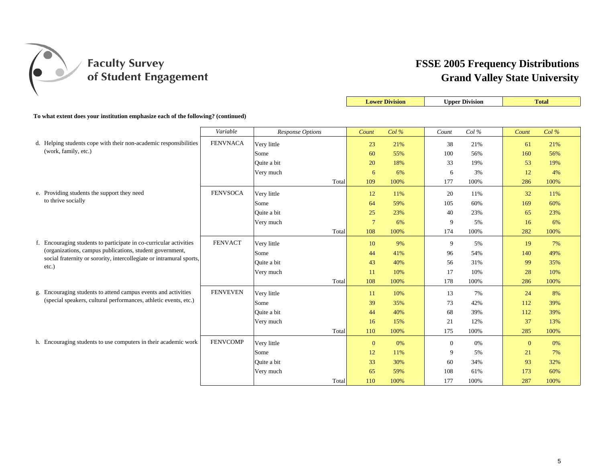

|                                                                                   |                 |                  |       |                 | <b>Lower Division</b> |              | <b>Upper Division</b> |              | <b>Total</b> |
|-----------------------------------------------------------------------------------|-----------------|------------------|-------|-----------------|-----------------------|--------------|-----------------------|--------------|--------------|
| To what extent does your institution emphasize each of the following? (continued) |                 |                  |       |                 |                       |              |                       |              |              |
|                                                                                   | Variable        | Response Options |       | Count           | Col%                  | Count        | Col %                 | Count        | Col%         |
| d. Helping students cope with their non-academic responsibilities                 | <b>FENVNACA</b> | Very little      |       | 23              | 21%                   | 38           | 21%                   | 61           | 21%          |
| (work, family, etc.)                                                              |                 | Some             |       | 60              | 55%                   | 100          | 56%                   | 160          | 56%          |
|                                                                                   |                 | Ouite a bit      |       | 20              | 18%                   | 33           | 19%                   | 53           | 19%          |
|                                                                                   |                 | Very much        |       | 6               | 6%                    | 6            | 3%                    | 12           | 4%           |
|                                                                                   |                 | Total            |       | 109             | 100%                  | 177          | 100%                  | 286          | 100%         |
| e. Providing students the support they need                                       | <b>FENVSOCA</b> | Very little      |       | 12              | 11%                   | 20           | 11%                   | 32           | 11%          |
| to thrive socially                                                                |                 | Some             |       | 64              | 59%                   | 105          | 60%                   | 169          | 60%          |
|                                                                                   |                 | Quite a bit      |       | 25              | 23%                   | 40           | 23%                   | 65           | 23%          |
|                                                                                   |                 | Very much        |       | $7\phantom{.0}$ | 6%                    | 9            | 5%                    | 16           | 6%           |
|                                                                                   |                 | Total            |       | 108             | 100%                  | 174          | 100%                  | 282          | 100%         |
| f. Encouraging students to participate in co-curricular activities                | <b>FENVACT</b>  | Very little      |       | 10              | 9%                    | 9            | 5%                    | 19           | 7%           |
| (organizations, campus publications, student government,                          |                 | Some             |       | 44              | 41%                   | 96           | 54%                   | 140          | 49%          |
| social fraternity or sorority, intercollegiate or intramural sports,              |                 | Quite a bit      |       | 43              | 40%                   | 56           | 31%                   | 99           | 35%          |
| $etc.$ )                                                                          |                 | Very much        |       | 11              | 10%                   | 17           | 10%                   | 28           | 10%          |
|                                                                                   |                 | Total            |       | 108             | 100%                  | 178          | 100%                  | 286          | 100%         |
| g. Encouraging students to attend campus events and activities                    | <b>FENVEVEN</b> | Very little      |       | 11              | 10%                   | 13           | 7%                    | 24           | 8%           |
| (special speakers, cultural performances, athletic events, etc.)                  |                 | Some             |       | 39              | 35%                   | 73           | 42%                   | 112          | 39%          |
|                                                                                   |                 | Quite a bit      |       | 44              | 40%                   | 68           | 39%                   | 112          | 39%          |
|                                                                                   |                 | Very much        |       | 16              | 15%                   | 21           | 12%                   | 37           | 13%          |
|                                                                                   |                 | Total            |       | 110             | 100%                  | 175          | 100%                  | 285          | 100%         |
| h. Encouraging students to use computers in their academic work                   | <b>FENVCOMP</b> | Very little      |       | $\mathbf{0}$    | 0%                    | $\mathbf{0}$ | 0%                    | $\mathbf{0}$ | 0%           |
|                                                                                   |                 | Some             |       | 12              | 11%                   | 9            | 5%                    | 21           | 7%           |
|                                                                                   |                 | Quite a bit      |       | 33              | 30%                   | 60           | 34%                   | 93           | 32%          |
|                                                                                   |                 | Very much        |       | 65              | 59%                   | 108          | 61%                   | 173          | 60%          |
|                                                                                   |                 |                  | Total | 110             | 100%                  | 177          | 100%                  | 287          | 100%         |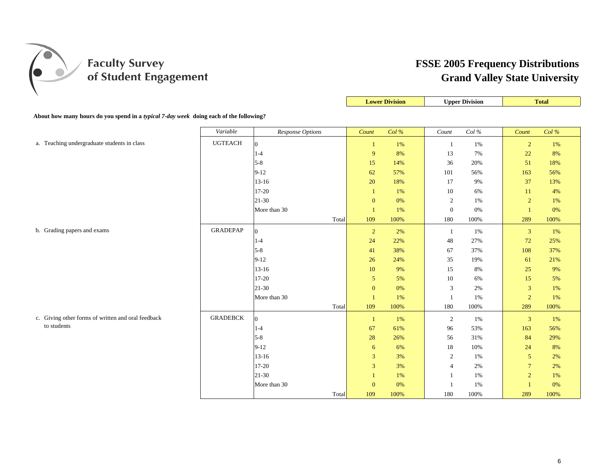

|                                                                                        |                 |                  |                  | <b>Lower Division</b> |                | <b>Upper Division</b> |                | <b>Total</b> |
|----------------------------------------------------------------------------------------|-----------------|------------------|------------------|-----------------------|----------------|-----------------------|----------------|--------------|
| About how many hours do you spend in a typical 7-day week doing each of the following? |                 |                  |                  |                       |                |                       |                |              |
|                                                                                        | Variable        | Response Options | Count            | Col%                  | Count          | Col %                 | Count          | Col %        |
| a. Teaching undergraduate students in class                                            | <b>UGTEACH</b>  | 10               | $\mathbf{1}$     | 1%                    | 1              | 1%                    | $\overline{2}$ | 1%           |
|                                                                                        |                 | $1 - 4$          | 9                | 8%                    | 13             | 7%                    | 22             | 8%           |
|                                                                                        |                 | $5-8$            | 15               | 14%                   | 36             | 20%                   | 51             | 18%          |
|                                                                                        |                 | $9-12$           | 62               | 57%                   | $101\,$        | 56%                   | 163            | 56%          |
|                                                                                        |                 | $13 - 16$        | 20               | 18%                   | 17             | 9%                    | 37             | 13%          |
|                                                                                        |                 | 17-20            | $\mathbf{1}$     | 1%                    | 10             | 6%                    | 11             | 4%           |
|                                                                                        |                 | 21-30            | $\boldsymbol{0}$ | $0\%$                 | $\sqrt{2}$     | 1%                    | $\overline{c}$ | 1%           |
|                                                                                        |                 | More than 30     | $\overline{1}$   | 1%                    | $\mathbf{0}$   | 0%                    | $\overline{1}$ | 0%           |
|                                                                                        |                 | Total            | 109              | 100%                  | 180            | 100%                  | 289            | 100%         |
| b. Grading papers and exams                                                            | <b>GRADEPAP</b> | $\overline{0}$   | $\overline{2}$   | 2%                    | $\mathbf{1}$   | 1%                    | $\mathbf{3}$   | 1%           |
|                                                                                        |                 | $1-4$            | $24\,$           | 22%                   | 48             | 27%                   | 72             | 25%          |
|                                                                                        |                 | $5 - 8$          | 41               | 38%                   | 67             | 37%                   | 108            | 37%          |
|                                                                                        |                 | $9-12$           | 26               | 24%                   | 35             | 19%                   | 61             | 21%          |
|                                                                                        |                 | $13 - 16$        | 10               | 9%                    | 15             | 8%                    | 25             | 9%           |
|                                                                                        |                 | $17 - 20$        | $\mathfrak{S}$   | 5%                    | 10             | 6%                    | 15             | 5%           |
|                                                                                        |                 | $21 - 30$        | $\mathbf{0}$     | 0%                    | $\mathbf{3}$   | 2%                    | $\overline{3}$ | 1%           |
|                                                                                        |                 | More than 30     | $\overline{1}$   | 1%                    | -1             | 1%                    | $\overline{2}$ | 1%           |
|                                                                                        |                 | Total            | 109              | 100%                  | 180            | 100%                  | 289            | 100%         |
| c. Giving other forms of written and oral feedback                                     | <b>GRADEBCK</b> | $\overline{0}$   | $\mathbf{1}$     | 1%                    | $\overline{2}$ | 1%                    | 3              | 1%           |
| to students                                                                            |                 | $1 - 4$          | 67               | 61%                   | 96             | 53%                   | 163            | 56%          |
|                                                                                        |                 | $5 - 8$          | 28               | 26%                   | 56             | 31%                   | 84             | 29%          |
|                                                                                        |                 | $9 - 12$         | 6                | 6%                    | 18             | 10%                   | 24             | 8%           |
|                                                                                        |                 | $13 - 16$        | 3                | 3%                    | $\overline{2}$ | 1%                    | 5              | 2%           |
|                                                                                        |                 | $17 - 20$        | $\overline{3}$   | 3%                    | $\overline{4}$ | 2%                    | $\overline{7}$ | 2%           |
|                                                                                        |                 | $21-30$          | 1                | 1%                    | -1             | 1%                    | $\overline{2}$ | 1%           |
|                                                                                        |                 | More than 30     | $\mathbf{0}$     | $0\%$                 | $\overline{1}$ | 1%                    | $\overline{1}$ | $0\%$        |
|                                                                                        |                 | Total            | 109              | 100%                  | 180            | 100%                  | 289            | 100%         |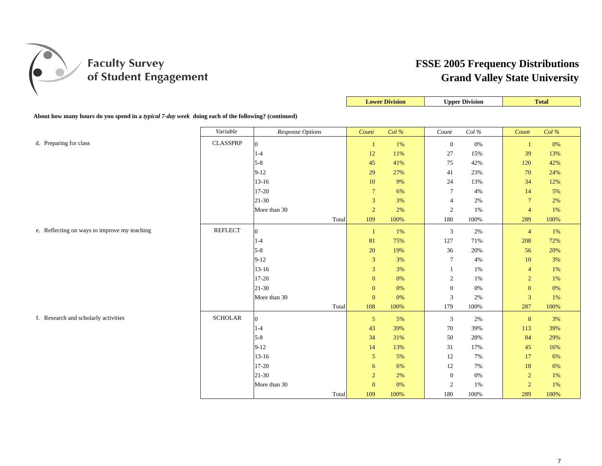

|                                                                                                    |                 |                  |       |                  | <b>Lower Division</b> |                  | <b>Upper Division</b> |                 | <b>Total</b> |
|----------------------------------------------------------------------------------------------------|-----------------|------------------|-------|------------------|-----------------------|------------------|-----------------------|-----------------|--------------|
| About how many hours do you spend in a typical 7-day week doing each of the following? (continued) |                 |                  |       |                  |                       |                  |                       |                 |              |
|                                                                                                    | Variable        | Response Options |       | Count            | Col %                 | Count            | Col $\%$              | Count           | Col%         |
| d. Preparing for class                                                                             | <b>CLASSPRP</b> | $\overline{0}$   |       | $\mathbf{1}$     | $1\%$                 | $\boldsymbol{0}$ | 0%                    | -1              | 0%           |
|                                                                                                    |                 | $1 - 4$          |       | 12               | 11%                   | 27               | 15%                   | 39              | 13%          |
|                                                                                                    |                 | $5-8$            |       | 45               | 41%                   | 75               | 42%                   | 120             | 42%          |
|                                                                                                    |                 | $9-12$           |       | 29               | 27%                   | 41               | 23%                   | 70              | 24%          |
|                                                                                                    |                 | $13 - 16$        |       | $10\,$           | 9%                    | 24               | 13%                   | 34              | 12%          |
|                                                                                                    |                 | $17 - 20$        |       | $\overline{7}$   | 6%                    | $\overline{7}$   | 4%                    | 14              | 5%           |
|                                                                                                    |                 | $21 - 30$        |       | $\mathfrak{Z}$   | 3%                    | $\overline{4}$   | 2%                    | $7\phantom{.0}$ | 2%           |
|                                                                                                    |                 | More than 30     |       | $\sqrt{2}$       | 2%                    | $\sqrt{2}$       | 1%                    | $\overline{4}$  | 1%           |
|                                                                                                    |                 |                  | Total | 109              | 100%                  | 180              | 100%                  | 289             | 100%         |
| e. Reflecting on ways to improve my teaching                                                       | <b>REFLECT</b>  | $\overline{0}$   |       | $\mathbf{1}$     | 1%                    | $\mathfrak{Z}$   | 2%                    | $\overline{4}$  | 1%           |
|                                                                                                    |                 | $1 - 4$          |       | 81               | 75%                   | 127              | 71%                   | 208             | 72%          |
|                                                                                                    |                 | $5 - 8$          |       | 20               | 19%                   | 36               | 20%                   | 56              | 20%          |
|                                                                                                    |                 | $9-12$           |       | $\mathfrak{Z}$   | 3%                    | $\tau$           | 4%                    | 10              | 3%           |
|                                                                                                    |                 | $13 - 16$        |       | $\overline{3}$   | 3%                    | 1                | 1%                    | $\overline{4}$  | 1%           |
|                                                                                                    |                 | 17-20            |       | $\boldsymbol{0}$ | 0%                    | $\sqrt{2}$       | 1%                    | $\sqrt{2}$      | 1%           |
|                                                                                                    |                 | 21-30            |       | $\boldsymbol{0}$ | 0%                    | $\boldsymbol{0}$ | 0%                    | $\mathbf{0}$    | 0%           |
|                                                                                                    |                 | More than 30     |       | $\mathbf{0}$     | 0%                    | $\sqrt{3}$       | 2%                    | 3               | 1%           |
|                                                                                                    |                 |                  | Total | 108              | 100%                  | 179              | 100%                  | 287             | 100%         |
| f. Research and scholarly activities                                                               | <b>SCHOLAR</b>  | $\overline{0}$   |       | $\overline{5}$   | 5%                    | 3                | 2%                    | 8               | 3%           |
|                                                                                                    |                 | $1 - 4$          |       | 43               | 39%                   | 70               | 39%                   | 113             | 39%          |
|                                                                                                    |                 | $5-8$            |       | 34               | 31%                   | 50               | 28%                   | 84              | 29%          |
|                                                                                                    |                 | $9-12$           |       | 14               | 13%                   | 31               | 17%                   | 45              | 16%          |
|                                                                                                    |                 | $13 - 16$        |       | $\mathfrak{S}$   | 5%                    | 12               | 7%                    | 17              | 6%           |
|                                                                                                    |                 | 17-20            |       | 6                | 6%                    | 12               | 7%                    | 18              | 6%           |
|                                                                                                    |                 | $21 - 30$        |       | $\overline{c}$   | 2%                    | $\mathbf{0}$     | 0%                    | $\sqrt{2}$      | 1%           |
|                                                                                                    |                 | More than 30     |       | $\mathbf{0}$     | 0%                    | 2                | 1%                    | $\overline{2}$  | 1%           |
|                                                                                                    |                 |                  | Total | 109              | 100%                  | 180              | 100%                  | 289             | 100%         |

 $\mathbb{R}$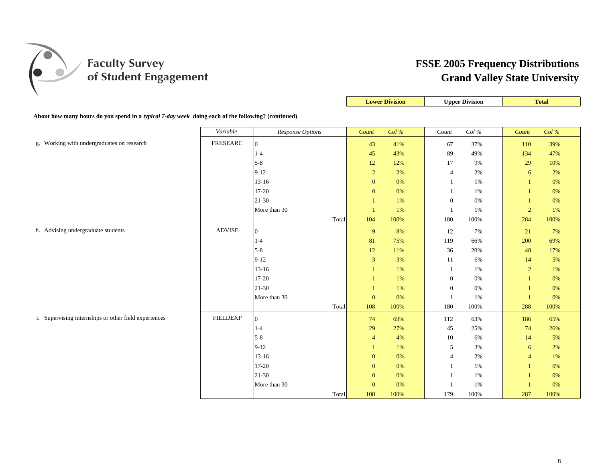

|                                                                                                    |                 |                  |                  | <b>Lower Division</b> |                  | <b>Upper Division</b> |                | <b>Total</b> |
|----------------------------------------------------------------------------------------------------|-----------------|------------------|------------------|-----------------------|------------------|-----------------------|----------------|--------------|
| About how many hours do you spend in a typical 7-day week doing each of the following? (continued) |                 |                  |                  |                       |                  |                       |                |              |
|                                                                                                    | Variable        | Response Options | Count            | Col %                 | Count            | Col $\%$              | Count          | Col%         |
| g. Working with undergraduates on research                                                         | FRESEARC        | $\overline{0}$   | 43               | 41%                   | 67               | 37%                   | 110            | 39%          |
|                                                                                                    |                 | $1-4$            | $45\,$           | 43%                   | 89               | 49%                   | 134            | 47%          |
|                                                                                                    |                 | $5 - 8$          | 12               | 12%                   | 17               | 9%                    | 29             | 10%          |
|                                                                                                    |                 | $9 - 12$         | $\sqrt{2}$       | 2%                    | $\overline{4}$   | $2\%$                 | 6              | 2%           |
|                                                                                                    |                 | $13 - 16$        | $\mathbf{0}$     | 0%                    | 1                | $1\%$                 | $\mathbf{1}$   | 0%           |
|                                                                                                    |                 | 17-20            | $\mathbf{0}$     | 0%                    | 1                | 1%                    | $\mathbf{1}$   | 0%           |
|                                                                                                    |                 | 21-30            | $\mathbf{1}$     | $1\%$                 | $\boldsymbol{0}$ | $0\%$                 | $\mathbf{1}$   | $0\%$        |
|                                                                                                    |                 | More than 30     | $\mathbf{1}$     | 1%                    | 1                | 1%                    | $\overline{2}$ | 1%           |
|                                                                                                    |                 | Total            | 104              | 100%                  | $180\,$          | 100%                  | 284            | 100%         |
| h. Advising undergraduate students                                                                 | <b>ADVISE</b>   | $\overline{0}$   | $\overline{9}$   | 8%                    | 12               | 7%                    | 21             | 7%           |
|                                                                                                    |                 | $1 - 4$          | 81               | 75%                   | 119              | 66%                   | 200            | 69%          |
|                                                                                                    |                 | $5 - 8$          | 12               | 11%                   | 36               | 20%                   | 48             | 17%          |
|                                                                                                    |                 | $9-12$           | $\sqrt{3}$       | 3%                    | 11               | 6%                    | 14             | 5%           |
|                                                                                                    |                 | $13 - 16$        | 1                | 1%                    | 1                | 1%                    | $\overline{2}$ | 1%           |
|                                                                                                    |                 | 17-20            |                  | $1\%$                 | $\boldsymbol{0}$ | 0%                    | $\overline{1}$ | 0%           |
|                                                                                                    |                 | $21 - 30$        | 1                | 1%                    | $\boldsymbol{0}$ | $0\%$                 | $\mathbf{1}$   | 0%           |
|                                                                                                    |                 | More than 30     | $\mathbf{0}$     | 0%                    | 1                | 1%                    | $\mathbf{1}$   | 0%           |
|                                                                                                    |                 | Total            | 108              | 100%                  | 180              | 100%                  | 288            | 100%         |
| i. Supervising internships or other field experiences                                              | <b>FIELDEXP</b> | $\overline{0}$   | 74               | 69%                   | 112              | 63%                   | 186            | 65%          |
|                                                                                                    |                 | $1 - 4$          | 29               | 27%                   | 45               | 25%                   | 74             | 26%          |
|                                                                                                    |                 | $5 - 8$          | $\overline{4}$   | 4%                    | 10               | 6%                    | 14             | 5%           |
|                                                                                                    |                 | $9 - 12$         | 1                | 1%                    | 5                | 3%                    | 6              | 2%           |
|                                                                                                    |                 | $13 - 16$        | $\mathbf{0}$     | 0%                    | $\overline{4}$   | 2%                    | $\overline{4}$ | 1%           |
|                                                                                                    |                 | 17-20            | $\boldsymbol{0}$ | 0%                    | 1                | 1%                    | $\mathbf{1}$   | 0%           |
|                                                                                                    |                 | 21-30            | $\boldsymbol{0}$ | 0%                    | $\overline{1}$   | 1%                    | $\overline{1}$ | 0%           |
|                                                                                                    |                 | More than 30     | $\mathbf{0}$     | 0%                    | -1               | 1%                    | $\overline{1}$ | $0\%$        |
|                                                                                                    |                 | Total            | 108              | 100%                  | 179              | 100%                  | 287            | 100%         |

 $\mathbb{R}$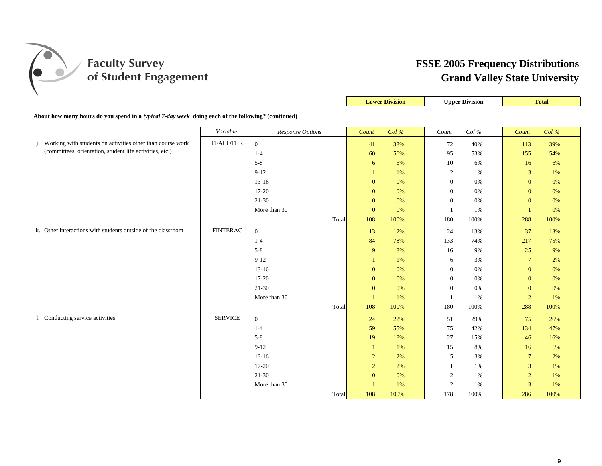

|                                                                                                    |                 |                  |                | <b>Lower Division</b> |                | <b>Upper Division</b> |                  | <b>Total</b> |
|----------------------------------------------------------------------------------------------------|-----------------|------------------|----------------|-----------------------|----------------|-----------------------|------------------|--------------|
| About how many hours do you spend in a typical 7-day week doing each of the following? (continued) |                 |                  |                |                       |                |                       |                  |              |
|                                                                                                    | Variable        | Response Options | Count          | Col %                 | Count          | Col $\%$              | Count            | Col %        |
| Working with students on activities other than course work<br>j.                                   | <b>FFACOTHR</b> | $\overline{0}$   | 41             | 38%                   | 72             | 40%                   | 113              | 39%          |
| (committees, orientation, student life activities, etc.)                                           |                 | $1-4$            | 60             | 56%                   | 95             | 53%                   | 155              | 54%          |
|                                                                                                    |                 | $5 - 8$          | 6              | 6%                    | 10             | 6%                    | 16               | 6%           |
|                                                                                                    |                 | $9 - 12$         | 1              | 1%                    | $\overline{2}$ | 1%                    | 3                | 1%           |
|                                                                                                    |                 | $13 - 16$        | $\mathbf{0}$   | 0%                    | $\mathbf{0}$   | 0%                    | $\mathbf{0}$     | 0%           |
|                                                                                                    |                 | $17 - 20$        | $\mathbf{0}$   | 0%                    | $\mathbf{0}$   | 0%                    | $\boldsymbol{0}$ | 0%           |
|                                                                                                    |                 | $21 - 30$        | $\mathbf{0}$   | 0%                    | $\mathbf{0}$   | 0%                    | $\boldsymbol{0}$ | 0%           |
|                                                                                                    |                 | More than 30     | $\mathbf{0}$   | 0%                    | -1             | 1%                    | $\overline{1}$   | 0%           |
|                                                                                                    |                 | Total            | 108            | 100%                  | 180            | 100%                  | 288              | 100%         |
| k. Other interactions with students outside of the classroom                                       | <b>FINTERAC</b> | $\Omega$         | 13             | 12%                   | 24             | 13%                   | 37               | 13%          |
|                                                                                                    |                 | $1 - 4$          | 84             | 78%                   | 133            | 74%                   | 217              | 75%          |
|                                                                                                    |                 | $5 - 8$          | 9              | 8%                    | 16             | 9%                    | 25               | 9%           |
|                                                                                                    |                 | $9 - 12$         | $\mathbf{1}$   | 1%                    | 6              | 3%                    | $\overline{7}$   | 2%           |
|                                                                                                    |                 | $13 - 16$        | $\mathbf{0}$   | 0%                    | $\overline{0}$ | 0%                    | $\mathbf{0}$     | 0%           |
|                                                                                                    |                 | 17-20            | $\mathbf{0}$   | 0%                    | $\mathbf{0}$   | 0%                    | $\mathbf{0}$     | 0%           |
|                                                                                                    |                 | $21 - 30$        | $\mathbf{0}$   | 0%                    | $\mathbf{0}$   | 0%                    | $\mathbf{0}$     | 0%           |
|                                                                                                    |                 | More than 30     | $\mathbf{1}$   | 1%                    | $\mathbf{1}$   | 1%                    | $\overline{2}$   | 1%           |
|                                                                                                    |                 | Total            | 108            | 100%                  | 180            | 100%                  | 288              | 100%         |
| 1. Conducting service activities                                                                   | <b>SERVICE</b>  | $\overline{0}$   | 24             | 22%                   | 51             | 29%                   | 75               | 26%          |
|                                                                                                    |                 | $1-4$            | 59             | 55%                   | 75             | 42%                   | 134              | 47%          |
|                                                                                                    |                 | $5 - 8$          | 19             | 18%                   | 27             | 15%                   | 46               | 16%          |
|                                                                                                    |                 | $9 - 12$         | $\mathbf{1}$   | 1%                    | 15             | 8%                    | 16               | 6%           |
|                                                                                                    |                 | $13 - 16$        | $\overline{2}$ | 2%                    | 5              | 3%                    | $\overline{7}$   | 2%           |
|                                                                                                    |                 | $17 - 20$        | $\overline{2}$ | 2%                    | 1              | 1%                    | $\mathbf{3}$     | 1%           |
|                                                                                                    |                 | $21 - 30$        | $\mathbf{0}$   | 0%                    | $\overline{2}$ | 1%                    | $\overline{2}$   | 1%           |
|                                                                                                    |                 | More than 30     | $\overline{1}$ | $1\%$                 | $\sqrt{2}$     | 1%                    | $\mathbf{3}$     | 1%           |
|                                                                                                    |                 | Total            | 108            | 100%                  | 178            | 100%                  | 286              | 100%         |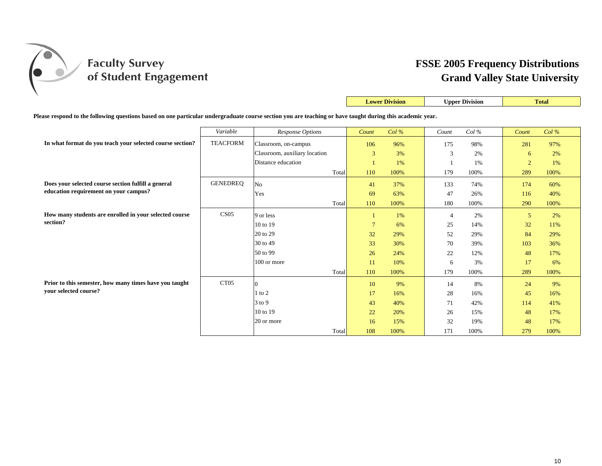

|                                                                                                                                                           |                  |                               |       |                 | <b>Lower Division</b> |                | <b>Upper Division</b> |                | <b>Total</b> |  |
|-----------------------------------------------------------------------------------------------------------------------------------------------------------|------------------|-------------------------------|-------|-----------------|-----------------------|----------------|-----------------------|----------------|--------------|--|
| Please respond to the following questions based on one particular undergraduate course section you are teaching or have taught during this academic year. |                  |                               |       |                 |                       |                |                       |                |              |  |
|                                                                                                                                                           | Variable         | Response Options              |       | Count           | $Col\%$               | Count          | Col%                  | Count          | $Col\%$      |  |
| In what format do you teach your selected course section?                                                                                                 | <b>TEACFORM</b>  | Classroom, on-campus          |       | 106             | 96%                   | 175            | 98%                   | 281            | 97%          |  |
|                                                                                                                                                           |                  | Classroom, auxiliary location |       | 3               | 3%                    | 3              | 2%                    | 6              | 2%           |  |
|                                                                                                                                                           |                  | Distance education            |       |                 | 1%                    |                | 1%                    | $\overline{2}$ | 1%           |  |
|                                                                                                                                                           |                  |                               | Total | 110             | 100%                  | 179            | 100%                  | 289            | 100%         |  |
| Does your selected course section fulfill a general                                                                                                       | <b>GENEDREQ</b>  | No                            |       | 41              | 37%                   | 133            | 74%                   | 174            | 60%          |  |
| education requirement on your campus?                                                                                                                     |                  | Yes                           |       | 69              | 63%                   | 47             | 26%                   | 116            | 40%          |  |
|                                                                                                                                                           |                  |                               | Total | 110             | 100%                  | 180            | 100%                  | 290            | 100%         |  |
| How many students are enrolled in your selected course                                                                                                    | CS <sub>05</sub> | 9 or less                     |       | -1              | 1%                    | $\overline{4}$ | 2%                    | 5              | 2%           |  |
| section?                                                                                                                                                  |                  | 10 to 19                      |       | $7\phantom{.0}$ | 6%                    | 25             | 14%                   | 32             | 11%          |  |
|                                                                                                                                                           |                  | 20 to 29                      |       | 32              | 29%                   | 52             | 29%                   | 84             | 29%          |  |
|                                                                                                                                                           |                  | 30 to 49                      |       | 33              | 30%                   | 70             | 39%                   | 103            | 36%          |  |
|                                                                                                                                                           |                  | 50 to 99                      |       | 26              | 24%                   | 22             | 12%                   | 48             | 17%          |  |
|                                                                                                                                                           |                  | 100 or more                   |       | 11              | 10%                   | 6              | 3%                    | 17             | 6%           |  |
|                                                                                                                                                           |                  |                               | Total | 110             | 100%                  | 179            | 100%                  | 289            | 100%         |  |
| Prior to this semester, how many times have you taught                                                                                                    | CT <sub>05</sub> | $\Omega$                      |       | 10              | 9%                    | 14             | 8%                    | 24             | 9%           |  |
| vour selected course?                                                                                                                                     |                  | $1$ to $2$                    |       | 17              | 16%                   | 28             | 16%                   | 45             | 16%          |  |
|                                                                                                                                                           |                  | $3$ to 9                      |       | 43              | 40%                   | 71             | 42%                   | 114            | 41%          |  |
|                                                                                                                                                           |                  | 10 to 19                      |       | 22              | 20%                   | 26             | 15%                   | 48             | 17%          |  |
|                                                                                                                                                           |                  | 20 or more                    |       | 16              | 15%                   | 32             | 19%                   | 48             | 17%          |  |
|                                                                                                                                                           |                  |                               | Total | 108             | 100%                  | 171            | 100%                  | 279            | 100%         |  |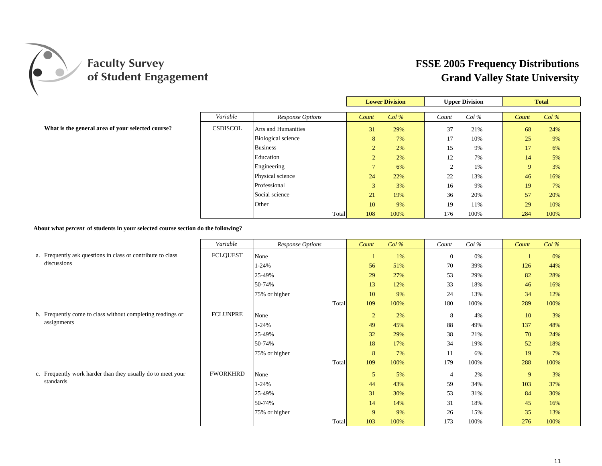

|                                                   |                 |                            |            | <b>Lower Division</b> |                | <b>Upper Division</b> |             | <b>Total</b> |
|---------------------------------------------------|-----------------|----------------------------|------------|-----------------------|----------------|-----------------------|-------------|--------------|
|                                                   | Variable        | Response Options           | Count      | Col%                  | Count          | $Col\%$               | Count       | $Col\%$      |
| What is the general area of your selected course? | <b>CSDISCOL</b> | <b>Arts and Humanities</b> | 31         | 29%                   | 37             | 21%                   | 68          | 24%          |
|                                                   |                 | <b>Biological science</b>  | 8          | 7%                    | 17             | 10%                   | 25          | 9%           |
|                                                   |                 | <b>Business</b>            |            | 2%                    | 15             | 9%                    | 17          | 6%           |
|                                                   |                 | Education                  |            | 2%                    | 12             | 7%                    | 14          | 5%           |
|                                                   |                 | Engineering                |            | 6%                    | $\bigcap$<br>∠ | 1%                    | $\mathbf Q$ | 3%           |
|                                                   |                 | Physical science           | 24         | 22%                   | 22             | 13%                   | 46          | 16%          |
|                                                   |                 | Professional               | $\sqrt{2}$ | 3%                    | 16             | 9%                    | 19          | 7%           |
|                                                   |                 | Social science             | 21         | 19%                   | 36             | 20%                   | 57          | 20%          |
|                                                   |                 | Other                      | 10         | 9%                    | 19             | 11%                   | 29          | 10%          |
|                                                   |                 | Total                      | 108        | 100%                  | 176            | 100%                  | 284         | 100%         |

**About what** *percent* **of students in your selected course section do the following?**

|                                                             | Variable        | Response Options | Count          | $Col\%$ | Count        | $Col\%$ | Count | $Col\%$ |
|-------------------------------------------------------------|-----------------|------------------|----------------|---------|--------------|---------|-------|---------|
| a. Frequently ask questions in class or contribute to class | <b>FCLQUEST</b> | None             |                | 1%      | $\mathbf{0}$ | 0%      |       | 0%      |
| discussions                                                 |                 | $1 - 24%$        | 56             | 51%     | 70           | 39%     | 126   | 44%     |
|                                                             |                 | 25-49%           | 29             | 27%     | 53           | 29%     | 82    | 28%     |
|                                                             |                 | 50-74%           | 13             | 12%     | 33           | 18%     | 46    | 16%     |
|                                                             |                 | 75% or higher    | 10             | 9%      | 24           | 13%     | 34    | 12%     |
|                                                             |                 | Total            | 109            | 100%    | 180          | 100%    | 289   | 100%    |
| b. Frequently come to class without completing readings or  | <b>FCLUNPRE</b> | None             | $\overline{2}$ | 2%      | 8            | 4%      | 10    | 3%      |
| assignments                                                 |                 | $1 - 24%$        | 49             | 45%     | 88           | 49%     | 137   | 48%     |
|                                                             |                 | 25-49%           | 32             | 29%     | 38           | 21%     | 70    | 24%     |
|                                                             |                 | 50-74%           | 18             | 17%     | 34           | 19%     | 52    | 18%     |
|                                                             |                 | 75% or higher    | 8              | 7%      | 11           | 6%      | 19    | 7%      |
|                                                             |                 | Total            | 109            | 100%    | 179          | 100%    | 288   | 100%    |
| c. Frequently work harder than they usually do to meet your | <b>FWORKHRD</b> | None             | 5              | 5%      |              | 2%      | 9     | 3%      |
| standards                                                   |                 | 1-24%            | 44             | 43%     | 59           | 34%     | 103   | 37%     |
|                                                             |                 | 25-49%           | 31             | 30%     | 53           | 31%     | 84    | 30%     |
|                                                             |                 | 50-74%           | 14             | 14%     | 31           | 18%     | 45    | 16%     |
|                                                             |                 | 75% or higher    | 9              | 9%      | 26           | 15%     | 35    | 13%     |
|                                                             |                 | Total            | 103            | 100%    | 173          | 100%    | 276   | 100%    |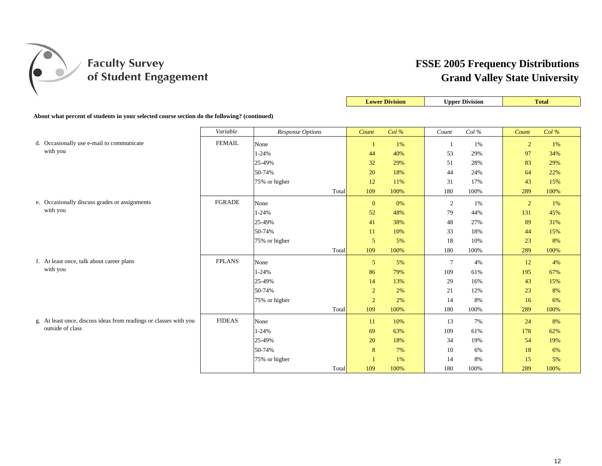

|                                                                                              |               |                  |                | <b>Lower Division</b> |                 | <b>Upper Division</b> |                | <b>Total</b> |
|----------------------------------------------------------------------------------------------|---------------|------------------|----------------|-----------------------|-----------------|-----------------------|----------------|--------------|
| About what percent of students in your selected course section do the following? (continued) |               |                  |                |                       |                 |                       |                |              |
|                                                                                              | Variable      | Response Options | Count          | Col%                  | Count           | Col $\%$              | Count          | Col%         |
| d. Occasionally use e-mail to communicate                                                    | <b>FEMAIL</b> | None             | $\mathbf{1}$   | 1%                    | 1               | 1%                    | $\overline{2}$ | 1%           |
| with you                                                                                     |               | $1 - 24%$        | 44             | 40%                   | 53              | 29%                   | 97             | 34%          |
|                                                                                              |               | 25-49%           | 32             | 29%                   | 51              | 28%                   | 83             | 29%          |
|                                                                                              |               | 50-74%           | 20             | 18%                   | 44              | 24%                   | 64             | 22%          |
|                                                                                              |               | 75% or higher    | 12             | 11%                   | 31              | 17%                   | 43             | 15%          |
|                                                                                              |               | Total            | 109            | 100%                  | 180             | 100%                  | 289            | 100%         |
| e. Occasionally discuss grades or assignments                                                | <b>FGRADE</b> | None             | $\mathbf{0}$   | 0%                    | 2               | 1%                    | $\overline{2}$ | 1%           |
| with you                                                                                     |               | $1 - 24%$        | 52             | 48%                   | 79              | 44%                   | 131            | 45%          |
|                                                                                              |               | 25-49%           | 41             | 38%                   | 48              | 27%                   | 89             | 31%          |
|                                                                                              |               | 50-74%           | 11             | 10%                   | 33              | 18%                   | 44             | 15%          |
|                                                                                              |               | 75% or higher    | $\overline{5}$ | 5%                    | 18              | 10%                   | 23             | 8%           |
|                                                                                              |               | Total            | 109            | 100%                  | 180             | 100%                  | 289            | 100%         |
| f. At least once, talk about career plans                                                    | <b>FPLANS</b> | None             | 5              | 5%                    | $7\phantom{.0}$ | 4%                    | 12             | 4%           |
| with you                                                                                     |               | $1 - 24%$        | 86             | 79%                   | 109             | 61%                   | 195            | 67%          |
|                                                                                              |               | 25-49%           | 14             | 13%                   | 29              | 16%                   | 43             | 15%          |
|                                                                                              |               | 50-74%           | $\sqrt{2}$     | 2%                    | 21              | 12%                   | 23             | 8%           |
|                                                                                              |               | 75% or higher    | $\sqrt{2}$     | 2%                    | 14              | 8%                    | 16             | 6%           |
|                                                                                              |               | Total            | 109            | 100%                  | 180             | 100%                  | 289            | 100%         |
| g. At least once, discuss ideas from readings or classes with you                            | <b>FIDEAS</b> | None             | 11             | 10%                   | 13              | 7%                    | 24             | 8%           |
| outside of class                                                                             |               | $1 - 24%$        | 69             | 63%                   | 109             | 61%                   | 178            | 62%          |
|                                                                                              |               | 25-49%           | 20             | 18%                   | 34              | 19%                   | 54             | 19%          |
|                                                                                              |               | 50-74%           | 8              | 7%                    | 10              | 6%                    | 18             | 6%           |
|                                                                                              |               | 75% or higher    | $\overline{1}$ | 1%                    | 14              | 8%                    | 15             | 5%           |
|                                                                                              |               | Total            | 109            | 100%                  | 180             | 100%                  | 289            | 100%         |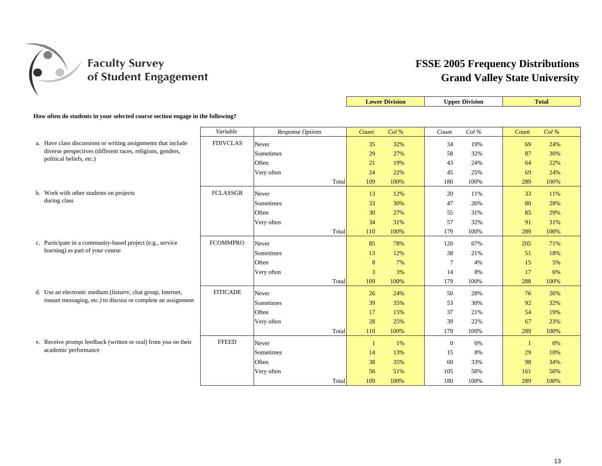

|                                                                                        |                 |                         |       |              | <b>Lower Division</b> |              | <b>Upper Division</b> |              | <b>Total</b> |
|----------------------------------------------------------------------------------------|-----------------|-------------------------|-------|--------------|-----------------------|--------------|-----------------------|--------------|--------------|
| How often do students in your selected course section engage in the following?         |                 |                         |       |              |                       |              |                       |              |              |
|                                                                                        | Variable        | <b>Response Options</b> |       |              | Col%                  | Count        | Col %                 |              | Col%         |
|                                                                                        |                 |                         |       | Count        |                       |              |                       | Count        |              |
| a. Have class discussions or writing assignments that include                          | <b>FDIVCLAS</b> | Never                   |       | 35           | 32%                   | 34           | 19%                   | 69           | 24%          |
| diverse perspectives (different races, religions, genders,<br>political beliefs, etc.) |                 | Sometimes               |       | 29           | 27%                   | 58           | 32%                   | 87           | 30%          |
|                                                                                        |                 | Often                   |       | 21           | 19%                   | 43           | 24%                   | 64           | 22%          |
|                                                                                        |                 | Very often              |       | 24           | 22%                   | 45           | 25%                   | 69           | 24%          |
|                                                                                        |                 |                         | Total | 109          | 100%                  | 180          | 100%                  | 289          | 100%         |
| b. Work with other students on projects                                                | <b>FCLASSGR</b> | Never                   |       | 13           | 12%                   | 20           | 11%                   | 33           | 11%          |
| during class                                                                           |                 | Sometimes               |       | 33           | 30%                   | 47           | 26%                   | 80           | 28%          |
|                                                                                        |                 | Often                   |       | 30           | 27%                   | 55           | 31%                   | 85           | 29%          |
|                                                                                        |                 | Very often              |       | 34           | 31%                   | 57           | 32%                   | 91           | 31%          |
|                                                                                        |                 |                         | Total | 110          | 100%                  | 179          | 100%                  | 289          | 100%         |
| c. Participate in a community-based project (e.g., service                             | <b>FCOMMPRO</b> | Never                   |       | 85           | 78%                   | 120          | 67%                   | 205          | 71%          |
| learning) as part of your course                                                       |                 | Sometimes               |       | 13           | 12%                   | 38           | 21%                   | 51           | 18%          |
|                                                                                        |                 | Often                   |       | 8            | 7%                    | 7            | 4%                    | 15           | 5%           |
|                                                                                        |                 | Very often              |       | 3            | 3%                    | 14           | 8%                    | 17           | 6%           |
|                                                                                        |                 |                         | Total | 109          | 100%                  | 179          | 100%                  | 288          | 100%         |
| d. Use an electronic medium (listserv, chat group, Internet,                           | <b>FITICADE</b> | Never                   |       | 26           | 24%                   | 50           | 28%                   | 76           | 26%          |
| instant messaging, etc.) to discuss or complete an assignment                          |                 | Sometimes               |       | 39           | 35%                   | 53           | 30%                   | 92           | 32%          |
|                                                                                        |                 | Often                   |       | 17           | 15%                   | 37           | 21%                   | 54           | 19%          |
|                                                                                        |                 | Very often              |       | 28           | 25%                   | 39           | 22%                   | 67           | 23%          |
|                                                                                        |                 |                         | Total | 110          | 100%                  | 179          | 100%                  | 289          | 100%         |
| e. Receive prompt feedback (written or oral) from you on their                         | <b>FFEED</b>    | Never                   |       | $\mathbf{1}$ | 1%                    | $\mathbf{0}$ | 0%                    | $\mathbf{1}$ | 0%           |
| academic performance                                                                   |                 | Sometimes               |       | 14           | 13%                   | 15           | 8%                    | 29           | 10%          |
|                                                                                        |                 | Often                   |       | 38           | 35%                   | 60           | 33%                   | 98           | 34%          |
|                                                                                        |                 | Very often              |       | 56           | 51%                   | 105          | 58%                   | 161          | 56%          |
|                                                                                        |                 |                         | Total | 109          | 100%                  | 180          | 100%                  | 289          | 100%         |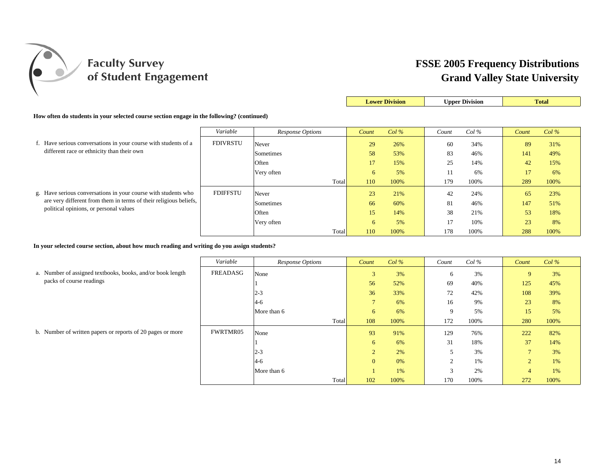

|                                                                                            |                 |                         |       | <b>Lower Division</b> |         |       | <b>Upper Division</b> |       | <b>Total</b> |  |  |
|--------------------------------------------------------------------------------------------|-----------------|-------------------------|-------|-----------------------|---------|-------|-----------------------|-------|--------------|--|--|
| How often do students in your selected course section engage in the following? (continued) |                 |                         |       |                       |         |       |                       |       |              |  |  |
|                                                                                            | Variable        | <b>Response Options</b> |       | Count                 | $Col\%$ | Count | $Col\%$               | Count | $Col\%$      |  |  |
| f. Have serious conversations in your course with students of a                            | <b>FDIVRSTU</b> | Never                   |       | 29                    | 26%     | 60    | 34%                   | 89    | 31%          |  |  |
| different race or ethnicity than their own                                                 |                 | Sometimes               |       | 58                    | 53%     | 83    | 46%                   | 141   | 49%          |  |  |
|                                                                                            |                 | Often                   |       | 17                    | 15%     | 25    | 14%                   | 42    | 15%          |  |  |
|                                                                                            |                 | Very often              |       | 6                     | 5%      |       | 6%                    | 17    | 6%           |  |  |
|                                                                                            |                 |                         | Total | 110                   | 100%    | 179   | 100%                  | 289   | 100%         |  |  |
| g. Have serious conversations in your course with students who                             | <b>FDIFFSTU</b> | Never                   |       | 23                    | 21%     | 42    | 24%                   | 65    | 23%          |  |  |
| are very different from them in terms of their religious beliefs,                          |                 | Sometimes               |       | 66                    | 60%     | 81    | 46%                   | 147   | 51%          |  |  |
| political opinions, or personal values                                                     |                 | Often                   |       | 15                    | 14%     | 38    | 21%                   | 53    | 18%          |  |  |
|                                                                                            |                 | Very often              |       | 6                     | 5%      | 17    | 10%                   | 23    | 8%           |  |  |
|                                                                                            |                 |                         | Total | 110                   | 100%    | 178   | 100%                  | 288   | 100%         |  |  |

**In your selected course section, about how much reading and writing do you assign students?**

|                                                            | Variable | Response Options | Count          | $Col\%$ | Count       | $Col\%$ | Count          | Col% |
|------------------------------------------------------------|----------|------------------|----------------|---------|-------------|---------|----------------|------|
| a. Number of assigned textbooks, books, and/or book length | FREADASG | None             | 3              | 3%      | 6           | 3%      | 9              | 3%   |
| packs of course readings                                   |          |                  | 56             | 52%     | 69          | 40%     | 125            | 45%  |
|                                                            |          | $2 - 3$          | 36             | 33%     | 72          | 42%     | 108            | 39%  |
|                                                            |          | $4-6$            | $\overline{7}$ | 6%      | 16          | 9%      | 23             | 8%   |
|                                                            |          | More than 6      | 6              | 6%      | $\mathbf Q$ | 5%      | 15             | 5%   |
|                                                            |          | Total            | 108            | 100%    | 172         | 100%    | 280            | 100% |
| b. Number of written papers or reports of 20 pages or more | FWRTMR05 | None             | 93             | 91%     | 129         | 76%     | 222            | 82%  |
|                                                            |          |                  | 6              | 6%      | 31          | 18%     | 37             | 14%  |
|                                                            |          | $2 - 3$          | $\overline{2}$ | 2%      |             | 3%      | $\overline{ }$ | 3%   |
|                                                            |          | $4-6$            | $\overline{0}$ | 0%      |             | 1%      | $\overline{2}$ | 1%   |
|                                                            |          | More than 6      |                | 1%      | $\sim$      | 2%      | 4              | 1%   |
|                                                            |          | Total            | 102            | 100%    | 170         | 100%    | 272            | 100% |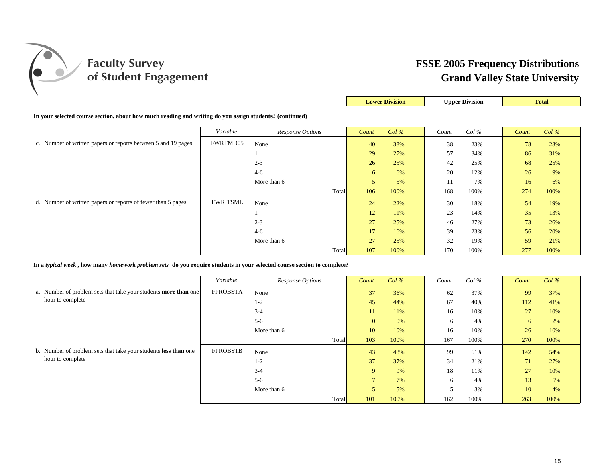

|                                                                                                         |                 |                  | <b>Lower Division</b> |      |       | <b>Upper Division</b> |       | <b>Total</b> |
|---------------------------------------------------------------------------------------------------------|-----------------|------------------|-----------------------|------|-------|-----------------------|-------|--------------|
| In your selected course section, about how much reading and writing do you assign students? (continued) |                 |                  |                       |      |       |                       |       |              |
|                                                                                                         | Variable        | Response Options | Count                 | Col% | Count | $Col\%$               | Count | $Col\%$      |
| c. Number of written papers or reports between 5 and 19 pages                                           | FWRTMD05        | None             | 40                    | 38%  | 38    | 23%                   | 78    | 28%          |
|                                                                                                         |                 |                  | 29                    | 27%  | 57    | 34%                   | 86    | 31%          |
|                                                                                                         |                 | $2 - 3$          | 26                    | 25%  | 42    | 25%                   | 68    | 25%          |
|                                                                                                         |                 | $4-6$            | 6                     | 6%   | 20    | 12%                   | 26    | 9%           |
|                                                                                                         |                 | More than 6      | 5                     | 5%   | 11    | 7%                    | 16    | 6%           |
|                                                                                                         |                 | Total            | 106                   | 100% | 168   | 100%                  | 274   | 100%         |
| d. Number of written papers or reports of fewer than 5 pages                                            | <b>FWRITSML</b> | None             | 24                    | 22%  | 30    | 18%                   | 54    | 19%          |
|                                                                                                         |                 |                  | 12                    | 11%  | 23    | 14%                   | 35    | 13%          |
|                                                                                                         |                 | $2 - 3$          | 27                    | 25%  | 46    | 27%                   | 73    | 26%          |
|                                                                                                         |                 | $4-6$            | 17                    | 16%  | 39    | 23%                   | 56    | 20%          |
|                                                                                                         |                 | More than 6      | 27                    | 25%  | 32    | 19%                   | 59    | 21%          |
|                                                                                                         |                 | Total            | 107                   | 100% | 170   | 100%                  | 277   | 100%         |

**In a** *typical week* **, how many** *homework problem sets* **do you require students in your selected course section to complete?**

|                                                                        | Variable        | Response Options | Count        | $Col\%$ | Count | $Col\%$ | Count | $Col\%$ |
|------------------------------------------------------------------------|-----------------|------------------|--------------|---------|-------|---------|-------|---------|
| a. Number of problem sets that take your students <b>more than</b> one | <b>FPROBSTA</b> | None             | 37           | 36%     | 62    | 37%     | 99    | 37%     |
| hour to complete                                                       |                 | $1 - 2$          | 45           | 44%     | 67    | 40%     | 112   | 41%     |
|                                                                        |                 | $3 - 4$          | 11           | 11%     | 16    | 10%     | 27    | 10%     |
|                                                                        |                 | $5 - 6$          | $\mathbf{0}$ | 0%      | 6     | 4%      | 6     | 2%      |
|                                                                        |                 | More than 6      | 10           | 10%     | 16    | 10%     | 26    | 10%     |
|                                                                        |                 | Total            | 103          | 100%    | 167   | 100%    | 270   | 100%    |
| b. Number of problem sets that take your students less than one        | <b>FPROBSTB</b> | None             | 43           | 43%     | 99    | 61%     | 142   | 54%     |
| hour to complete                                                       |                 | $1 - 2$          | 37           | 37%     | 34    | 21%     | 71    | 27%     |
|                                                                        |                 | $3 - 4$          | 9            | 9%      | 18    | 11%     | 27    | 10%     |
|                                                                        |                 | $5-6$            | $\mathbf{r}$ | 7%      | 6     | 4%      | 13    | 5%      |
|                                                                        |                 | More than 6      | 5            | 5%      |       | 3%      | 10    | 4%      |
|                                                                        |                 | Total            | 101          | 100%    | 162   | 100%    | 263   | 100%    |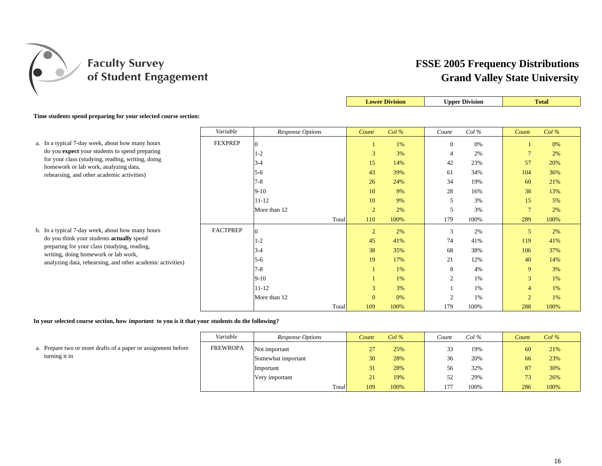

|                                                                                            |                 |                  |                | <b>Lower Division</b> |                | <b>Upper Division</b> |                          | <b>Total</b> |
|--------------------------------------------------------------------------------------------|-----------------|------------------|----------------|-----------------------|----------------|-----------------------|--------------------------|--------------|
| Time students spend preparing for your selected course section:                            |                 |                  |                |                       |                |                       |                          |              |
|                                                                                            | Variable        | Response Options | Count          | $Col\%$               | Count          | Col%                  | Count                    | Col%         |
| a. In a typical 7-day week, about how many hours                                           | <b>FEXPREP</b>  | 0                |                | 1%                    | $\mathbf{0}$   | 0%                    |                          | 0%           |
| do you expect your students to spend preparing                                             |                 | $1 - 2$          | $\mathfrak{Z}$ | 3%                    | $\overline{4}$ | 2%                    | $\overline{ }$           | 2%           |
| for your class (studying, reading, writing, doing<br>homework or lab work, analyzing data, |                 | $3 - 4$          | 15             | 14%                   | 42             | 23%                   | 57                       | 20%          |
| rehearsing, and other academic activities)                                                 |                 | $5 - 6$          | 43             | 39%                   | 61             | 34%                   | 104                      | 36%          |
|                                                                                            |                 | $7 - 8$          | 26             | 24%                   | 34             | 19%                   | 60                       | 21%          |
|                                                                                            |                 | $9-10$           | 10             | 9%                    | 28             | 16%                   | 38                       | 13%          |
|                                                                                            |                 | $11 - 12$        | 10             | 9%                    | 5              | 3%                    | 15                       | 5%           |
|                                                                                            |                 | More than 12     | $\overline{2}$ | 2%                    | 5              | 3%                    | $\overline{7}$           | 2%           |
|                                                                                            |                 | Total            | 110            | 100%                  | 179            | 100%                  | 289                      | 100%         |
| b. In a typical 7-day week, about how many hours                                           | <b>FACTPREP</b> | 0                | $\overline{c}$ | 2%                    | 3              | 2%                    | 5                        | 2%           |
| do you think your students actually spend                                                  |                 | $1 - 2$          | 45             | 41%                   | 74             | 41%                   | 119                      | 41%          |
| preparing for your class (studying, reading,<br>writing, doing homework or lab work,       |                 | $3-4$            | 38             | 35%                   | 68             | 38%                   | 106                      | 37%          |
| analyzing data, rehearsing, and other academic activities)                                 |                 | $5 - 6$          | 19             | 17%                   | 21             | 12%                   | 40                       | 14%          |
|                                                                                            |                 | $7 - 8$          |                | 1%                    | 8              | 4%                    | 9                        | 3%           |
|                                                                                            |                 | $9-10$           |                | $1\%$                 | $\overline{2}$ | 1%                    | 3                        | 1%           |
|                                                                                            |                 | $11 - 12$        | 3              | 3%                    |                | 1%                    | $\overline{\mathcal{A}}$ | 1%           |
|                                                                                            |                 | More than 12     | $\mathbf{0}$   | 0%                    | $\overline{2}$ | 1%                    | $\bigcap$                | 1%           |
|                                                                                            |                 | Total            | 109            | 100%                  | 179            | 100%                  | 288                      | 100%         |

**In your selected course section, how** *important* **to you is it that your students do the following?**

|                                                               | Variable        | Response Options   | Count | Col% | Count | Col% | Count | Col% |
|---------------------------------------------------------------|-----------------|--------------------|-------|------|-------|------|-------|------|
| a. Prepare two or more drafts of a paper or assignment before | <b>FREWROPA</b> | Not important      |       | 25%  |       | 19%  | 60    | 21%  |
| turning it in                                                 |                 | Somewhat important | 30    | 28%  | 36    | 20%  | 66    | 23%  |
|                                                               |                 | Important          |       | 28%  | 56    | 32%  | 87    | 30%  |
|                                                               |                 | Very important     |       | 19%  |       | 29%  | 73    | 26%  |
|                                                               |                 | Total              | 109   | 100% | 177   | 100% | 286   | 100% |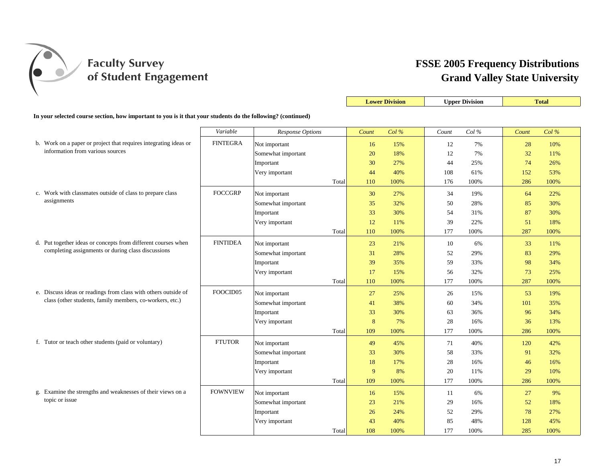

|                                                                                                              |                 |                    |       | <b>Lower Division</b> |       | <b>Upper Division</b> |            | <b>Total</b> |
|--------------------------------------------------------------------------------------------------------------|-----------------|--------------------|-------|-----------------------|-------|-----------------------|------------|--------------|
| In your selected course section, how important to you is it that your students do the following? (continued) |                 |                    |       |                       |       |                       |            |              |
|                                                                                                              | Variable        | Response Options   | Count | Col%                  | Count | Col%                  | Count      | Col%         |
| b. Work on a paper or project that requires integrating ideas or                                             | <b>FINTEGRA</b> | Not important      | 16    | 15%                   | 12    | 7%                    | 28         | 10%          |
| information from various sources                                                                             |                 | Somewhat important | 20    | 18%                   | 12    | 7%                    | 32         | 11%          |
|                                                                                                              |                 | Important          | 30    | 27%                   | 44    | 25%                   | 74         | 26%          |
|                                                                                                              |                 | Very important     | 44    | 40%                   | 108   | 61%                   | 152        | 53%          |
|                                                                                                              |                 | Total              | 110   | 100%                  | 176   | 100%                  | 286        | 100%         |
| c. Work with classmates outside of class to prepare class                                                    | <b>FOCCGRP</b>  | Not important      | 30    | 27%                   | 34    | 19%                   | 64         | 22%          |
| assignments                                                                                                  |                 | Somewhat important | 35    | 32%                   | 50    | 28%                   | 85         | 30%          |
|                                                                                                              |                 | Important          | 33    | 30%                   | 54    | 31%                   | 87         | 30%          |
|                                                                                                              |                 | Very important     | 12    | 11%                   | 39    | 22%                   | 51         | 18%          |
|                                                                                                              |                 | Total              | 110   | 100%                  | 177   | 100%                  | 287        | 100%         |
| d. Put together ideas or concepts from different courses when                                                | <b>FINTIDEA</b> | Not important      | 23    | 21%                   | 10    | 6%                    | 33         | 11%          |
| completing assignments or during class discussions                                                           |                 | Somewhat important | 31    | 28%                   | 52    | 29%                   | 83         | 29%          |
|                                                                                                              |                 | Important          | 39    | 35%                   | 59    | 33%                   | 98         | 34%          |
|                                                                                                              |                 | Very important     | 17    | 15%                   | 56    | 32%                   | 73         | 25%          |
|                                                                                                              |                 | Total              | 110   | 100%                  | 177   | 100%                  | 287        | 100%         |
| e. Discuss ideas or readings from class with others outside of                                               | FOOCID05        | Not important      | 27    | 25%                   | 26    | 15%                   | 53         | 19%          |
| class (other students, family members, co-workers, etc.)                                                     |                 | Somewhat important | 41    | 38%                   | 60    | 34%                   | 101        | 35%          |
|                                                                                                              |                 | Important          | 33    | 30%                   | 63    | 36%                   | 96         | 34%          |
|                                                                                                              |                 | Very important     | 8     | 7%                    | 28    | 16%                   | 36         | 13%          |
|                                                                                                              |                 | Total              | 109   | 100%                  | 177   | 100%                  | 286        | 100%         |
| f. Tutor or teach other students (paid or voluntary)                                                         | <b>FTUTOR</b>   | Not important      | 49    | 45%                   | 71    | 40%                   | <b>120</b> | 42%          |
|                                                                                                              |                 | Somewhat important | 33    | 30%                   | 58    | 33%                   | 91         | 32%          |
|                                                                                                              |                 | Important          | 18    | 17%                   | 28    | 16%                   | 46         | 16%          |
|                                                                                                              |                 | Very important     | 9     | 8%                    | 20    | 11%                   | 29         | 10%          |
|                                                                                                              |                 | Total              | 109   | 100%                  | 177   | 100%                  | 286        | 100%         |
| g. Examine the strengths and weaknesses of their views on a                                                  | <b>FOWNVIEW</b> | Not important      | 16    | 15%                   | 11    | 6%                    | 27         | 9%           |
| topic or issue                                                                                               |                 | Somewhat important | 23    | 21%                   | 29    | 16%                   | 52         | 18%          |
|                                                                                                              |                 | Important          | 26    | 24%                   | 52    | 29%                   | 78         | 27%          |
|                                                                                                              |                 | Very important     | 43    | 40%                   | 85    | 48%                   | 128        | 45%          |
|                                                                                                              |                 | Total              | 108   | 100%                  | 177   | 100%                  | 285        | 100%         |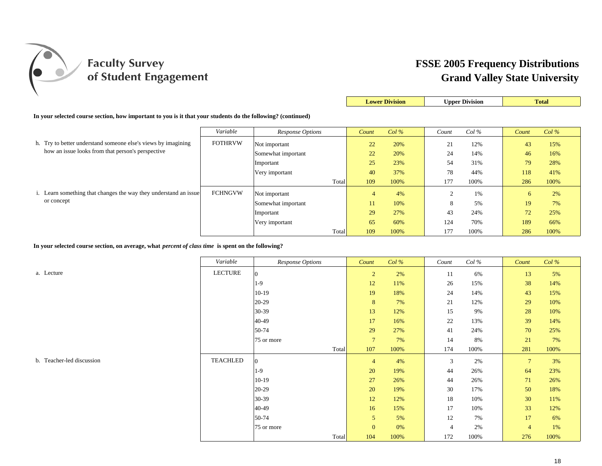

|                                                                                                              |                |                         |       | <b>Lower Division</b> | <b>Upper Division</b> |       | <b>Total</b> |       |         |
|--------------------------------------------------------------------------------------------------------------|----------------|-------------------------|-------|-----------------------|-----------------------|-------|--------------|-------|---------|
| In your selected course section, how important to you is it that your students do the following? (continued) |                |                         |       |                       |                       |       |              |       |         |
|                                                                                                              | Variable       | <b>Response Options</b> |       | Count                 | Col%                  | Count | $Col\%$      | Count | $Col\%$ |
| h. Try to better understand someone else's views by imagining                                                | <b>FOTHRVW</b> | Not important           |       | 22                    | 20%                   | 21    | 12%          | 43    | 15%     |
| how an issue looks from that person's perspective                                                            |                | Somewhat important      |       | 22                    | 20%                   | 24    | 14%          | 46    | 16%     |
|                                                                                                              |                | Important               |       | 25                    | 23%                   | 54    | 31%          | 79    | 28%     |
|                                                                                                              |                | Very important          |       | 40                    | 37%                   | 78    | 44%          | 118   | 41%     |
|                                                                                                              |                |                         | Total | 109                   | 100%                  | 177   | 100%         | 286   | 100%    |
| i. Learn something that changes the way they understand an issue                                             | <b>FCHNGVW</b> | Not important           |       | $\overline{4}$        | 4%                    |       | 1%           | 6     | 2%      |
| or concept                                                                                                   |                | Somewhat important      |       | 11                    | 10%                   | 8     | 5%           | 19    | 7%      |
|                                                                                                              |                | Important               |       | 29                    | 27%                   | 43    | 24%          | 72    | 25%     |
|                                                                                                              |                | Very important          |       | 65                    | 60%                   | 124   | 70%          | 189   | 66%     |
|                                                                                                              |                |                         | Total | 109                   | 100%                  | 177   | 100%         | 286   | 100%    |

**In your selected course section, on average, what** *percent of class time* **is spent on the following?**

*Variable Response Options Count Col % Count Col % Count Col %* a. Lecture LECTURE  $\mathsf{E} \quad |0 \quad 13 \quad 15 \quad 10$ 1-9 12 11% 26 15% 38 14%10-19 19 18% 24 14% 43 15%20-29 8 7% 21 12% 29 10%30-39 13 12% 15 9% 28 10%40-49 17 16% 22 13% 39 14%50-74 29 27% 41 24% 70 25%25% 75 or more 7 7% 14 8% 21 7%Total 107 100% 174 100% 281 100%100% 0 4 4% 3 2% 7 3%1-9 20 19% 44 26% 64 23%10-19 27 26% 44 26% 71 26%20-29 20 19% 30 17% 50 18%30-39 12 12% 18 10% 30 11%40-49 16 15% 17 10% 33 12%50-74 5 5% 12 7% 17 6%75 or more **1** 0 0% 4 2% <del>4 1%</del> Total 104 100% 172 100% 276 100%

b. Teacher-led discussion TEACHLED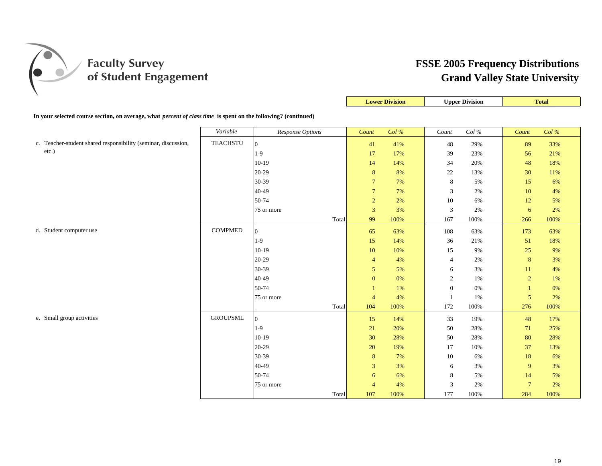

|                                                                                                                       |                 |                  |                  | <b>Lower Division</b> |                  | <b>Upper Division</b> |                | <b>Total</b> |
|-----------------------------------------------------------------------------------------------------------------------|-----------------|------------------|------------------|-----------------------|------------------|-----------------------|----------------|--------------|
| In your selected course section, on average, what <i>percent of class time</i> is spent on the following? (continued) |                 |                  |                  |                       |                  |                       |                |              |
|                                                                                                                       | Variable        | Response Options | Count            | Col %                 | Count            | $Col\,\%$             | Count          | Col %        |
| c. Teacher-student shared responsibility (seminar, discussion,                                                        | <b>TEACHSTU</b> | $\overline{0}$   | 41               | 41%                   | 48               | 29%                   | 89             | 33%          |
| etc.)                                                                                                                 |                 | $1-9$            | 17               | 17%                   | 39               | 23%                   | 56             | 21%          |
|                                                                                                                       |                 | $10-19$          | 14               | 14%                   | 34               | 20%                   | 48             | 18%          |
|                                                                                                                       |                 | $20-29$          | 8                | 8%                    | $22\,$           | 13%                   | 30             | 11%          |
|                                                                                                                       |                 | 30-39            | $\overline{7}$   | 7%                    | $\,8\,$          | 5%                    | 15             | 6%           |
|                                                                                                                       |                 | 40-49            | $\overline{7}$   | 7%                    | $\mathfrak{Z}$   | 2%                    | 10             | $4\%$        |
|                                                                                                                       |                 | 50-74            | $\overline{2}$   | $2\%$                 | 10               | 6%                    | 12             | 5%           |
|                                                                                                                       |                 | 75 or more       | $\overline{3}$   | 3%                    | $\mathfrak{Z}$   | 2%                    | 6              | 2%           |
|                                                                                                                       |                 | Total            | 99               | 100%                  | 167              | 100%                  | 266            | 100%         |
| d. Student computer use                                                                                               | <b>COMPMED</b>  | $\Omega$         | 65               | 63%                   | 108              | 63%                   | 173            | 63%          |
|                                                                                                                       |                 | $1-9$            | 15               | 14%                   | 36               | 21%                   | 51             | 18%          |
|                                                                                                                       |                 | $10-19$          | 10               | 10%                   | 15               | 9%                    | 25             | 9%           |
|                                                                                                                       |                 | $20 - 29$        | $\overline{4}$   | 4%                    | $\overline{4}$   | 2%                    | $\bf 8$        | 3%           |
|                                                                                                                       |                 | 30-39            | 5                | 5%                    | 6                | 3%                    | 11             | 4%           |
|                                                                                                                       |                 | 40-49            | $\boldsymbol{0}$ | 0%                    | $\sqrt{2}$       | 1%                    | $\overline{2}$ | 1%           |
|                                                                                                                       |                 | 50-74            | $\mathbf{1}$     | 1%                    | $\boldsymbol{0}$ | 0%                    | $\mathbf{1}$   | 0%           |
|                                                                                                                       |                 | 75 or more       | $\overline{4}$   | $4\%$                 | $\mathbf{1}$     | $1\%$                 | $\mathfrak{S}$ | $2\%$        |
|                                                                                                                       |                 | Total            | 104              | 100%                  | 172              | 100%                  | 276            | 100%         |
| e. Small group activities                                                                                             | <b>GROUPSML</b> | $\overline{0}$   | 15               | 14%                   | 33               | 19%                   | 48             | 17%          |
|                                                                                                                       |                 | $1-9$            | 21               | 20%                   | 50               | 28%                   | 71             | 25%          |
|                                                                                                                       |                 | $10-19$          | 30               | 28%                   | 50               | 28%                   | 80             | 28%          |
|                                                                                                                       |                 | $20-29$          | 20               | 19%                   | 17               | 10%                   | 37             | 13%          |
|                                                                                                                       |                 | 30-39            | $\boldsymbol{8}$ | 7%                    | 10               | 6%                    | 18             | 6%           |
|                                                                                                                       |                 | 40-49            | 3                | 3%                    | 6                | 3%                    | 9              | 3%           |
|                                                                                                                       |                 | 50-74            | 6                | 6%                    | 8                | 5%                    | 14             | 5%           |
|                                                                                                                       |                 | 75 or more       | $\overline{4}$   | 4%                    | $\mathfrak{Z}$   | 2%                    | $\overline{7}$ | 2%           |
|                                                                                                                       |                 | Total            | 107              | 100%                  | 177              | 100%                  | 284            | 100%         |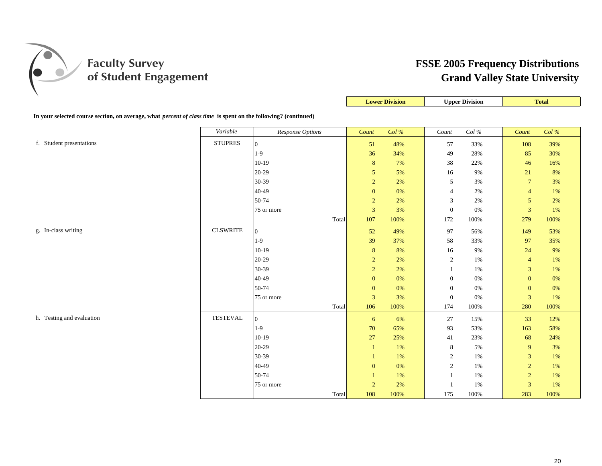

|                                                                                                                       |                 |                  |                  | <b>Lower Division</b> |                  | <b>Upper Division</b> |                  | <b>Total</b> |
|-----------------------------------------------------------------------------------------------------------------------|-----------------|------------------|------------------|-----------------------|------------------|-----------------------|------------------|--------------|
| In your selected course section, on average, what <i>percent of class time</i> is spent on the following? (continued) |                 |                  |                  |                       |                  |                       |                  |              |
|                                                                                                                       | Variable        | Response Options | Count            | Col %                 | Count            | $Col\,\%$             | Count            | Col %        |
| f. Student presentations                                                                                              | <b>STUPRES</b>  | $\overline{0}$   | 51               | 48%                   | 57               | 33%                   | 108              | 39%          |
|                                                                                                                       |                 | $1-9$            | 36               | 34%                   | 49               | 28%                   | 85               | 30%          |
|                                                                                                                       |                 | $10-19$          | $\bf 8$          | 7%                    | 38               | 22%                   | 46               | 16%          |
|                                                                                                                       |                 | 20-29            | $\mathfrak{S}$   | 5%                    | 16               | 9%                    | 21               | 8%           |
|                                                                                                                       |                 | 30-39            | $\overline{2}$   | $2\%$                 | $\mathfrak{S}$   | 3%                    | $\boldsymbol{7}$ | 3%           |
|                                                                                                                       |                 | 40-49            | $\boldsymbol{0}$ | 0%                    | $\overline{4}$   | 2%                    | $\overline{4}$   | $1\%$        |
|                                                                                                                       |                 | 50-74            | $\boldsymbol{2}$ | $2\%$                 | $\mathfrak{Z}$   | $2\%$                 | $\sqrt{5}$       | 2%           |
|                                                                                                                       |                 | 75 or more       | 3                | 3%                    | $\mathbf{0}$     | 0%                    | $\mathbf{3}$     | 1%           |
|                                                                                                                       |                 | Total            | 107              | 100%                  | 172              | 100%                  | 279              | 100%         |
| g. In-class writing                                                                                                   | <b>CLSWRITE</b> | $\overline{0}$   | 52               | 49%                   | 97               | 56%                   | 149              | 53%          |
|                                                                                                                       |                 | $1-9$            | 39               | 37%                   | 58               | 33%                   | 97               | 35%          |
|                                                                                                                       |                 | $10-19$          | 8                | 8%                    | 16               | 9%                    | 24               | 9%           |
|                                                                                                                       |                 | 20-29            | $\boldsymbol{2}$ | $2\%$                 | $\sqrt{2}$       | $1\%$                 | $\overline{4}$   | 1%           |
|                                                                                                                       |                 | 30-39            | $\overline{c}$   | 2%                    | -1               | 1%                    | $\mathfrak{Z}$   | 1%           |
|                                                                                                                       |                 | 40-49            | $\boldsymbol{0}$ | 0%                    | $\mathbf{0}$     | 0%                    | $\boldsymbol{0}$ | 0%           |
|                                                                                                                       |                 | 50-74            | $\boldsymbol{0}$ | $0\%$                 | $\boldsymbol{0}$ | 0%                    | $\boldsymbol{0}$ | 0%           |
|                                                                                                                       |                 | 75 or more       | $\mathfrak{Z}$   | 3%                    | $\boldsymbol{0}$ | 0%                    | $\mathbf{3}$     | 1%           |
|                                                                                                                       |                 | Total            | 106              | 100%                  | 174              | 100%                  | 280              | 100%         |
| h. Testing and evaluation                                                                                             | <b>TESTEVAL</b> | $\overline{0}$   | 6                | 6%                    | 27               | 15%                   | 33               | 12%          |
|                                                                                                                       |                 | $1-9$            | $70\,$           | 65%                   | 93               | 53%                   | 163              | 58%          |
|                                                                                                                       |                 | $10-19$          | 27               | 25%                   | 41               | 23%                   | 68               | 24%          |
|                                                                                                                       |                 | 20-29            | $\mathbf{1}$     | 1%                    | $\,8\,$          | $5\%$                 | 9                | 3%           |
|                                                                                                                       |                 | 30-39            | 1                | 1%                    | $\sqrt{2}$       | 1%                    | 3                | 1%           |
|                                                                                                                       |                 | 40-49            | $\boldsymbol{0}$ | $0\%$                 | $\sqrt{2}$       | $1\%$                 | $\sqrt{2}$       | 1%           |
|                                                                                                                       |                 | 50-74            | 1                | 1%                    | 1                | 1%                    | $\overline{2}$   | 1%           |
|                                                                                                                       |                 | 75 or more       | $\sqrt{2}$       | $2\%$                 | $\mathbf{1}$     | 1%                    | $\mathfrak{Z}$   | 1%           |
|                                                                                                                       |                 | Total            | 108              | 100%                  | 175              | 100%                  | 283              | 100%         |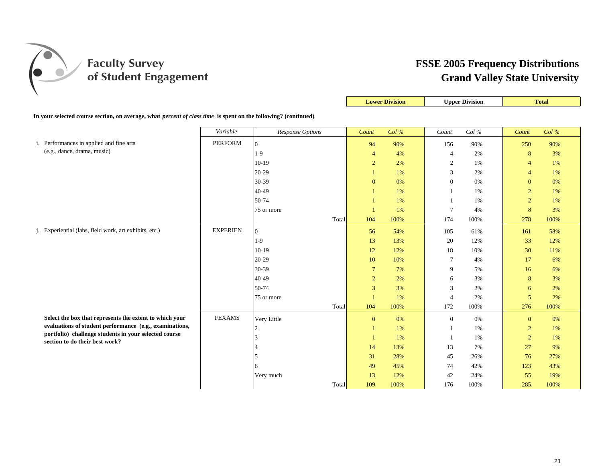

|                                                                                                                       |                 |                         |       |                | <b>Lower Division</b> |                 | <b>Upper Division</b> |                | <b>Total</b> |  |
|-----------------------------------------------------------------------------------------------------------------------|-----------------|-------------------------|-------|----------------|-----------------------|-----------------|-----------------------|----------------|--------------|--|
| In your selected course section, on average, what <i>percent of class time</i> is spent on the following? (continued) |                 |                         |       |                |                       |                 |                       |                |              |  |
|                                                                                                                       | Variable        | <b>Response Options</b> |       | Count          | Col%                  | Count           | Col%                  | Count          | $Col\%$      |  |
| i. Performances in applied and fine arts                                                                              | <b>PERFORM</b>  | $\Omega$                |       | 94             | 90%                   | 156             | 90%                   | 250            | 90%          |  |
| (e.g., dance, drama, music)                                                                                           |                 | $1-9$                   |       | $\overline{4}$ | 4%                    | 4               | 2%                    | 8              | 3%           |  |
|                                                                                                                       |                 | $10-19$                 |       | $\overline{2}$ | 2%                    | $\sqrt{2}$      | 1%                    | $\overline{4}$ | $1\%$        |  |
|                                                                                                                       |                 | 20-29                   |       | -1             | 1%                    | 3               | 2%                    | $\overline{4}$ | 1%           |  |
|                                                                                                                       |                 | 30-39                   |       | $\overline{0}$ | 0%                    | $\mathbf{0}$    | 0%                    | $\mathbf{0}$   | 0%           |  |
|                                                                                                                       |                 | 40-49                   |       | $\mathbf{1}$   | 1%                    | -1              | 1%                    | $\overline{2}$ | 1%           |  |
|                                                                                                                       |                 | 50-74                   |       | -1             | 1%                    | -1              | 1%                    | $\overline{2}$ | 1%           |  |
|                                                                                                                       |                 | 75 or more              |       | $\mathbf{1}$   | 1%                    | $7\phantom{.0}$ | 4%                    | 8              | 3%           |  |
|                                                                                                                       |                 |                         | Total | 104            | 100%                  | 174             | 100%                  | 278            | 100%         |  |
| j. Experiential (labs, field work, art exhibits, etc.)                                                                | <b>EXPERIEN</b> | $\Omega$                |       | 56             | 54%                   | 105             | 61%                   | 161            | 58%          |  |
|                                                                                                                       |                 | $1-9$                   |       | 13             | 13%                   | 20              | 12%                   | 33             | 12%          |  |
|                                                                                                                       |                 | $10-19$                 |       | 12             | 12%                   | 18              | 10%                   | 30             | 11%          |  |
|                                                                                                                       |                 | 20-29                   |       | 10             | 10%                   | $\tau$          | 4%                    | 17             | 6%           |  |
|                                                                                                                       |                 | 30-39                   |       | $\tau$         | 7%                    | 9               | 5%                    | 16             | 6%           |  |
|                                                                                                                       |                 | 40-49                   |       | $\overline{2}$ | 2%                    | 6               | 3%                    | 8              | 3%           |  |
|                                                                                                                       |                 | 50-74                   |       | $\overline{3}$ | 3%                    | 3               | 2%                    | 6              | 2%           |  |
|                                                                                                                       |                 | 75 or more              |       | $\mathbf{1}$   | 1%                    | $\overline{4}$  | 2%                    | 5              | 2%           |  |
|                                                                                                                       |                 |                         | Total | 104            | 100%                  | 172             | 100%                  | 276            | 100%         |  |
| Select the box that represents the extent to which your                                                               | <b>FEXAMS</b>   | Very Little             |       | $\mathbf{0}$   | 0%                    | $\overline{0}$  | 0%                    | $\mathbf{0}$   | 0%           |  |
| evaluations of student performance (e.g., examinations,                                                               |                 |                         |       | -1             | 1%                    | -1              | 1%                    | $\overline{2}$ | 1%           |  |
| portfolio) challenge students in your selected course<br>section to do their best work?                               |                 |                         |       | -1             | 1%                    | -1              | 1%                    | $\overline{2}$ | 1%           |  |
|                                                                                                                       |                 |                         |       | 14             | 13%                   | 13              | 7%                    | 27             | 9%           |  |
|                                                                                                                       |                 |                         |       | 31             | 28%                   | 45              | 26%                   | 76             | 27%          |  |
|                                                                                                                       |                 | 6                       |       | 49             | 45%                   | 74              | 42%                   | 123            | 43%          |  |
|                                                                                                                       |                 | Very much               |       | 13             | 12%                   | 42              | 24%                   | 55             | 19%          |  |
|                                                                                                                       |                 |                         | Total | 109            | 100%                  | 176             | 100%                  | 285            | 100%         |  |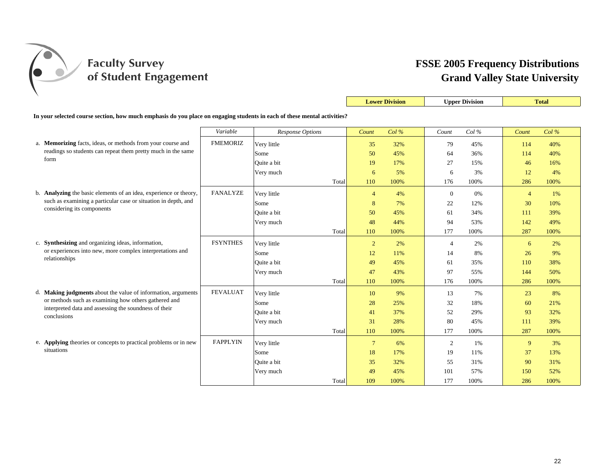

|                                                                                                                          |                 |                  |       | <b>Lower Division</b> |         | <b>Upper Division</b> |      |                | <b>Total</b> |
|--------------------------------------------------------------------------------------------------------------------------|-----------------|------------------|-------|-----------------------|---------|-----------------------|------|----------------|--------------|
| In your selected course section, how much emphasis do you place on engaging students in each of these mental activities? |                 |                  |       |                       |         |                       |      |                |              |
|                                                                                                                          | Variable        | Response Options |       | Count                 | $Col\%$ | Count                 | Col% | Count          | Col%         |
| a. Memorizing facts, ideas, or methods from your course and                                                              | <b>FMEMORIZ</b> | Very little      |       | 35                    | 32%     | 79                    | 45%  | 114            | 40%          |
| readings so students can repeat them pretty much in the same                                                             |                 | Some             |       | 50                    | 45%     | 64                    | 36%  | 114            | 40%          |
| form                                                                                                                     |                 | Quite a bit      |       | 19                    | 17%     | 27                    | 15%  | 46             | 16%          |
|                                                                                                                          |                 | Very much        |       | 6                     | 5%      | 6                     | 3%   | 12             | 4%           |
|                                                                                                                          |                 |                  | Total | 110                   | 100%    | 176                   | 100% | 286            | 100%         |
| b. Analyzing the basic elements of an idea, experience or theory,                                                        | <b>FANALYZE</b> | Very little      |       | $\overline{4}$        | 4%      | $\mathbf{0}$          | 0%   | $\overline{4}$ | 1%           |
| such as examining a particular case or situation in depth, and                                                           |                 | Some             |       | 8                     | 7%      | 22                    | 12%  | 30             | 10%          |
| considering its components                                                                                               |                 | Ouite a bit      |       | 50                    | 45%     | 61                    | 34%  | 111            | 39%          |
|                                                                                                                          |                 | Very much        |       | 48                    | 44%     | 94                    | 53%  | 142            | 49%          |
|                                                                                                                          |                 |                  | Total | 110                   | 100%    | 177                   | 100% | 287            | 100%         |
| c. Synthesizing and organizing ideas, information,                                                                       | <b>FSYNTHES</b> | Very little      |       | $\overline{2}$        | 2%      | $\overline{4}$        | 2%   | 6              | 2%           |
| or experiences into new, more complex interpretations and                                                                |                 | Some             |       | 12                    | 11%     | 14                    | 8%   | 26             | 9%           |
| relationships                                                                                                            |                 | Ouite a bit      |       | 49                    | 45%     | 61                    | 35%  | 110            | 38%          |
|                                                                                                                          |                 | Very much        |       | 47                    | 43%     | 97                    | 55%  | 144            | 50%          |
|                                                                                                                          |                 |                  | Total | 110                   | 100%    | 176                   | 100% | 286            | 100%         |
| d. Making judgments about the value of information, arguments                                                            | <b>FEVALUAT</b> | Very little      |       | 10                    | 9%      | 13                    | 7%   | 23             | 8%           |
| or methods such as examining how others gathered and                                                                     |                 | Some             |       | 28                    | 25%     | 32                    | 18%  | 60             | 21%          |
| interpreted data and assessing the soundness of their<br>conclusions                                                     |                 | Ouite a bit      |       | 41                    | 37%     | 52                    | 29%  | 93             | 32%          |
|                                                                                                                          |                 | Very much        |       | 31                    | 28%     | 80                    | 45%  | 111            | 39%          |
|                                                                                                                          |                 |                  | Total | 110                   | 100%    | 177                   | 100% | 287            | 100%         |
| e. Applying theories or concepts to practical problems or in new                                                         | <b>FAPPLYIN</b> | Very little      |       | $\overline{7}$        | 6%      | $\sqrt{2}$            | 1%   | 9              | 3%           |
| situations                                                                                                               |                 | Some             |       | 18                    | 17%     | 19                    | 11%  | 37             | 13%          |
|                                                                                                                          |                 | Ouite a bit      |       | 35                    | 32%     | 55                    | 31%  | 90             | 31%          |
|                                                                                                                          |                 | Very much        |       | 49                    | 45%     | 101                   | 57%  | 150            | 52%          |
|                                                                                                                          |                 |                  | Total | 109                   | 100%    | 177                   | 100% | 286            | 100%         |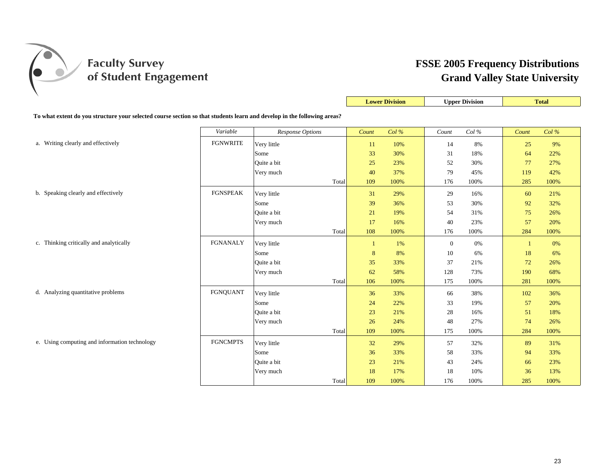

|                                                                                                                         |                 |                  |       |       | <b>Lower Division</b> | <b>Upper Division</b> |          | <b>Total</b> |       |
|-------------------------------------------------------------------------------------------------------------------------|-----------------|------------------|-------|-------|-----------------------|-----------------------|----------|--------------|-------|
| To what extent do you structure your selected course section so that students learn and develop in the following areas? |                 |                  |       |       |                       |                       |          |              |       |
|                                                                                                                         | Variable        | Response Options |       | Count | Col %                 | Count                 | Col $\%$ | Count        | Col % |
|                                                                                                                         |                 |                  |       |       |                       |                       |          |              |       |
| a. Writing clearly and effectively                                                                                      | <b>FGNWRITE</b> | Very little      |       | 11    | 10%                   | 14                    | 8%       | 25           | 9%    |
|                                                                                                                         |                 | Some             |       | 33    | 30%                   | 31                    | 18%      | 64           | 22%   |
|                                                                                                                         |                 | Quite a bit      |       | 25    | 23%                   | 52                    | 30%      | 77           | 27%   |
|                                                                                                                         |                 | Very much        |       | 40    | 37%                   | 79                    | 45%      | 119          | 42%   |
|                                                                                                                         |                 |                  | Total | 109   | 100%                  | 176                   | 100%     | 285          | 100%  |
| b. Speaking clearly and effectively                                                                                     | <b>FGNSPEAK</b> | Very little      |       | 31    | 29%                   | 29                    | 16%      | 60           | 21%   |
|                                                                                                                         |                 | Some             |       | 39    | 36%                   | 53                    | 30%      | 92           | 32%   |
|                                                                                                                         |                 | Quite a bit      |       | 21    | 19%                   | 54                    | 31%      | 75           | 26%   |
|                                                                                                                         |                 | Very much        |       | 17    | 16%                   | 40                    | 23%      | 57           | 20%   |
|                                                                                                                         |                 |                  | Total | 108   | 100%                  | 176                   | 100%     | 284          | 100%  |
| c. Thinking critically and analytically                                                                                 | <b>FGNANALY</b> | Very little      |       | -1    | 1%                    | $\mathbf{0}$          | 0%       | -1           | 0%    |
|                                                                                                                         |                 | Some             |       | 8     | 8%                    | 10                    | 6%       | 18           | 6%    |
|                                                                                                                         |                 | Quite a bit      |       | 35    | 33%                   | 37                    | 21%      | 72           | 26%   |
|                                                                                                                         |                 | Very much        |       | 62    | 58%                   | 128                   | 73%      | 190          | 68%   |
|                                                                                                                         |                 |                  | Total | 106   | 100%                  | 175                   | 100%     | 281          | 100%  |
| d. Analyzing quantitative problems                                                                                      | <b>FGNQUANT</b> | Very little      |       | 36    | 33%                   | 66                    | 38%      | 102          | 36%   |
|                                                                                                                         |                 | Some             |       | 24    | 22%                   | 33                    | 19%      | 57           | 20%   |
|                                                                                                                         |                 | Quite a bit      |       | 23    | 21%                   | 28                    | 16%      | 51           | 18%   |
|                                                                                                                         |                 | Very much        |       | 26    | 24%                   | 48                    | 27%      | 74           | 26%   |
|                                                                                                                         |                 |                  | Total | 109   | 100%                  | 175                   | 100%     | 284          | 100%  |
| e. Using computing and information technology                                                                           | <b>FGNCMPTS</b> | Very little      |       | 32    | 29%                   | 57                    | 32%      | 89           | 31%   |
|                                                                                                                         |                 | Some             |       | 36    | 33%                   | 58                    | 33%      | 94           | 33%   |
|                                                                                                                         |                 | Quite a bit      |       | 23    | 21%                   | 43                    | 24%      | 66           | 23%   |
|                                                                                                                         |                 | Very much        |       | 18    | 17%                   | 18                    | 10%      | 36           | 13%   |
|                                                                                                                         |                 |                  | Total | 109   | 100%                  | 176                   | 100%     | 285          | 100%  |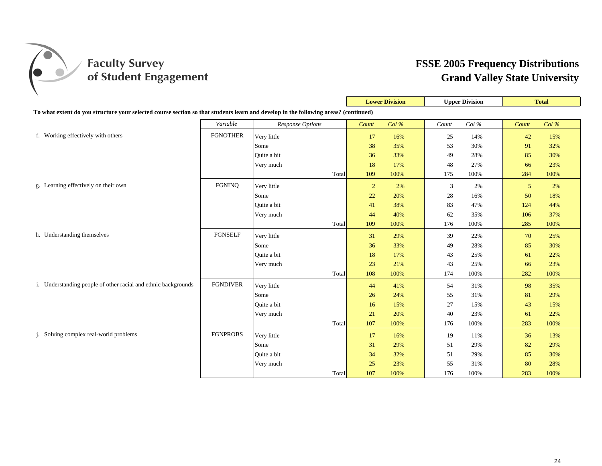

|                                                                                                                                     |                 |                  |                | <b>Lower Division</b> | <b>Upper Division</b> |          | <b>Total</b>   |      |
|-------------------------------------------------------------------------------------------------------------------------------------|-----------------|------------------|----------------|-----------------------|-----------------------|----------|----------------|------|
| To what extent do you structure your selected course section so that students learn and develop in the following areas? (continued) |                 |                  |                |                       |                       |          |                |      |
|                                                                                                                                     | Variable        | Response Options | Count          | Col%                  | Count                 | Col $\%$ | Count          | Col% |
| f. Working effectively with others                                                                                                  | <b>FGNOTHER</b> | Very little      | 17             | 16%                   | 25                    | 14%      | 42             | 15%  |
|                                                                                                                                     |                 | Some             | 38             | 35%                   | 53                    | 30%      | 91             | 32%  |
|                                                                                                                                     |                 | Quite a bit      | 36             | 33%                   | 49                    | 28%      | 85             | 30%  |
|                                                                                                                                     |                 | Very much        | 18             | 17%                   | 48                    | 27%      | 66             | 23%  |
|                                                                                                                                     |                 | Total            | 109            | 100%                  | 175                   | 100%     | 284            | 100% |
| g. Learning effectively on their own                                                                                                | <b>FGNINQ</b>   | Very little      | $\overline{2}$ | 2%                    | 3                     | 2%       | $\mathfrak{S}$ | 2%   |
|                                                                                                                                     |                 | Some             | 22             | 20%                   | 28                    | 16%      | 50             | 18%  |
|                                                                                                                                     |                 | Quite a bit      | 41             | 38%                   | 83                    | 47%      | 124            | 44%  |
|                                                                                                                                     |                 | Very much        | 44             | 40%                   | 62                    | 35%      | 106            | 37%  |
|                                                                                                                                     |                 | Total            | 109            | 100%                  | 176                   | 100%     | 285            | 100% |
| h. Understanding themselves                                                                                                         | <b>FGNSELF</b>  | Very little      | 31             | 29%                   | 39                    | 22%      | 70             | 25%  |
|                                                                                                                                     |                 | Some             | 36             | 33%                   | 49                    | 28%      | 85             | 30%  |
|                                                                                                                                     |                 | Quite a bit      | 18             | 17%                   | 43                    | 25%      | 61             | 22%  |
|                                                                                                                                     |                 | Very much        | 23             | 21%                   | 43                    | 25%      | 66             | 23%  |
|                                                                                                                                     |                 | Total            | 108            | 100%                  | 174                   | 100%     | 282            | 100% |
| i. Understanding people of other racial and ethnic backgrounds                                                                      | <b>FGNDIVER</b> | Very little      | 44             | 41%                   | 54                    | 31%      | 98             | 35%  |
|                                                                                                                                     |                 | Some             | 26             | 24%                   | 55                    | 31%      | 81             | 29%  |
|                                                                                                                                     |                 | Ouite a bit      | 16             | 15%                   | 27                    | 15%      | 43             | 15%  |
|                                                                                                                                     |                 | Very much        | 21             | 20%                   | 40                    | 23%      | 61             | 22%  |
|                                                                                                                                     |                 | Total            | 107            | 100%                  | 176                   | 100%     | 283            | 100% |
| j. Solving complex real-world problems                                                                                              | <b>FGNPROBS</b> | Very little      | 17             | 16%                   | 19                    | 11%      | 36             | 13%  |
|                                                                                                                                     |                 | Some             | 31             | 29%                   | 51                    | 29%      | 82             | 29%  |
|                                                                                                                                     |                 | Quite a bit      | 34             | 32%                   | 51                    | 29%      | 85             | 30%  |
|                                                                                                                                     |                 | Very much        | 25             | 23%                   | 55                    | 31%      | 80             | 28%  |
|                                                                                                                                     |                 | Total            | 107            | 100%                  | 176                   | 100%     | 283            | 100% |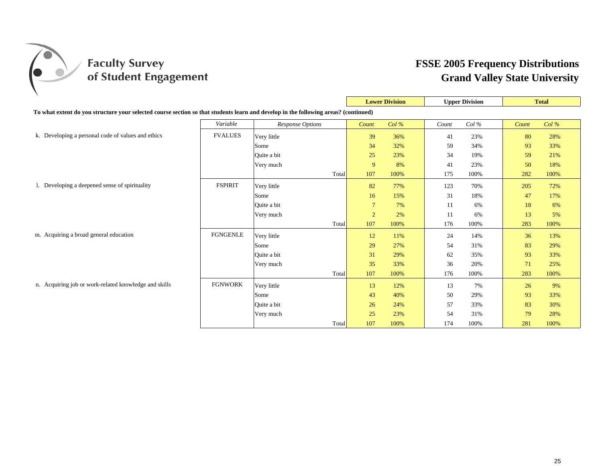

|                                                                                                                                     |                 |                  |                | <b>Lower Division</b> | <b>Upper Division</b> |       |       | <b>Total</b> |
|-------------------------------------------------------------------------------------------------------------------------------------|-----------------|------------------|----------------|-----------------------|-----------------------|-------|-------|--------------|
| To what extent do you structure your selected course section so that students learn and develop in the following areas? (continued) |                 |                  |                |                       |                       |       |       |              |
|                                                                                                                                     | Variable        | Response Options | Count          | Col%                  | Count                 | Col % | Count | Col%         |
| k. Developing a personal code of values and ethics                                                                                  | <b>FVALUES</b>  | Very little      | 39             | 36%                   | 41                    | 23%   | 80    | 28%          |
|                                                                                                                                     |                 | Some             | 34             | 32%                   | 59                    | 34%   | 93    | 33%          |
|                                                                                                                                     |                 | Quite a bit      | 25             | 23%                   | 34                    | 19%   | 59    | 21%          |
|                                                                                                                                     |                 | Very much        | 9              | 8%                    | 41                    | 23%   | 50    | 18%          |
|                                                                                                                                     |                 | Total            | 107            | 100%                  | 175                   | 100%  | 282   | 100%         |
| 1. Developing a deepened sense of spirituality                                                                                      | <b>FSPIRIT</b>  | Very little      | 82             | 77%                   | 123                   | 70%   | 205   | 72%          |
|                                                                                                                                     |                 | Some             | 16             | 15%                   | 31                    | 18%   | 47    | 17%          |
|                                                                                                                                     |                 | Quite a bit      | $\overline{7}$ | 7%                    | 11                    | 6%    | 18    | 6%           |
|                                                                                                                                     |                 | Very much        | $\overline{2}$ | 2%                    | 11                    | 6%    | 13    | 5%           |
|                                                                                                                                     |                 | Total            | 107            | 100%                  | 176                   | 100%  | 283   | 100%         |
| m. Acquiring a broad general education                                                                                              | <b>FGNGENLE</b> | Very little      | 12             | 11%                   | 24                    | 14%   | 36    | 13%          |
|                                                                                                                                     |                 | Some             | 29             | 27%                   | 54                    | 31%   | 83    | 29%          |
|                                                                                                                                     |                 | Quite a bit      | 31             | 29%                   | 62                    | 35%   | 93    | 33%          |
|                                                                                                                                     |                 | Very much        | 35             | 33%                   | 36                    | 20%   | 71    | 25%          |
|                                                                                                                                     |                 | Total            | 107            | 100%                  | 176                   | 100%  | 283   | 100%         |
| n. Acquiring job or work-related knowledge and skills                                                                               | <b>FGNWORK</b>  | Very little      | 13             | 12%                   | 13                    | 7%    | 26    | 9%           |
|                                                                                                                                     |                 | Some             | 43             | 40%                   | 50                    | 29%   | 93    | 33%          |
|                                                                                                                                     |                 | Quite a bit      | 26             | 24%                   | 57                    | 33%   | 83    | 30%          |
|                                                                                                                                     |                 | Very much        | 25             | 23%                   | 54                    | 31%   | 79    | 28%          |
|                                                                                                                                     |                 | Total            | 107            | 100%                  | 174                   | 100%  | 281   | 100%         |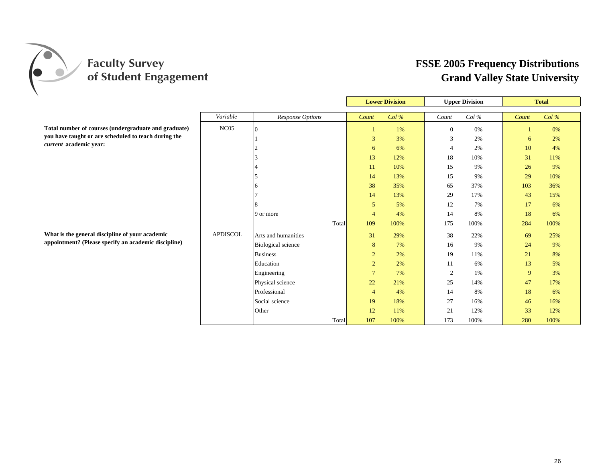

|                                                      |                  | <b>Lower Division</b><br><b>Upper Division</b> |                 |         |                | <b>Total</b> |       |      |
|------------------------------------------------------|------------------|------------------------------------------------|-----------------|---------|----------------|--------------|-------|------|
|                                                      |                  |                                                |                 |         |                |              |       |      |
|                                                      | Variable         | <b>Response Options</b>                        | Count           | $Col\%$ | Count          | Col %        | Count | Col% |
| Total number of courses (undergraduate and graduate) | NC <sub>05</sub> | $\Omega$                                       |                 | 1%      | $\overline{0}$ | 0%           |       | 0%   |
| you have taught or are scheduled to teach during the |                  |                                                | 3               | 3%      | 3              | 2%           | 6     | 2%   |
| current academic year:                               |                  |                                                | 6               | 6%      | $\overline{4}$ | 2%           | 10    | 4%   |
|                                                      |                  |                                                | 13              | 12%     | 18             | 10%          | 31    | 11%  |
|                                                      |                  |                                                | 11              | 10%     | 15             | 9%           | 26    | 9%   |
|                                                      |                  |                                                | 14              | 13%     | 15             | 9%           | 29    | 10%  |
|                                                      |                  |                                                | 38              | 35%     | 65             | 37%          | 103   | 36%  |
|                                                      |                  |                                                | 14              | 13%     | 29             | 17%          | 43    | 15%  |
|                                                      |                  |                                                | 5               | 5%      | 12             | 7%           | 17    | 6%   |
|                                                      |                  | 9 or more                                      | $\overline{4}$  | 4%      | 14             | 8%           | 18    | 6%   |
|                                                      |                  | Total                                          | 109             | 100%    | 175            | 100%         | 284   | 100% |
| What is the general discipline of your academic      | <b>APDISCOL</b>  | Arts and humanities                            | 31              | 29%     | 38             | 22%          | 69    | 25%  |
| appointment? (Please specify an academic discipline) |                  | <b>Biological science</b>                      | 8               | 7%      | 16             | 9%           | 24    | 9%   |
|                                                      |                  | <b>Business</b>                                | $\overline{2}$  | 2%      | 19             | 11%          | 21    | 8%   |
|                                                      |                  | Education                                      | $\overline{2}$  | 2%      | 11             | 6%           | 13    | 5%   |
|                                                      |                  | Engineering                                    | $7\overline{ }$ | 7%      | 2              | 1%           | 9     | 3%   |
|                                                      |                  | Physical science                               | 22              | 21%     | 25             | 14%          | 47    | 17%  |
|                                                      |                  | Professional                                   | $\overline{4}$  | 4%      | 14             | 8%           | 18    | 6%   |
|                                                      |                  | Social science                                 | 19              | 18%     | 27             | 16%          | 46    | 16%  |
|                                                      |                  | Other                                          | 12              | 11%     | 21             | 12%          | 33    | 12%  |
|                                                      |                  | Total                                          | 107             | 100%    | 173            | 100%         | 280   | 100% |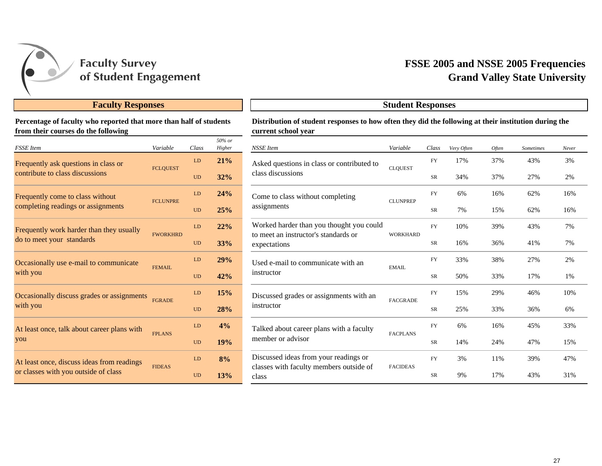

#### **Faculty Responses**

**Percentage of faculty who reported that more than half of students from their courses do the following**

| <b>FSSE</b> Item                            | Variable        | Class     | 50% or<br>Higher | <b>NSSE</b> Item                                                                 | Variable       |
|---------------------------------------------|-----------------|-----------|------------------|----------------------------------------------------------------------------------|----------------|
| Frequently ask questions in class or        | <b>FCLQUEST</b> | LD        | 21%              | Asked questions in class or contributed to                                       | <b>CLOUEST</b> |
| contribute to class discussions             |                 | <b>UD</b> | 32%              | class discussions                                                                |                |
| Frequently come to class without            | <b>FCLUNPRE</b> | LD        | 24%              | Come to class without completing                                                 | <b>CLUNPRI</b> |
| completing readings or assignments          |                 | <b>UD</b> | 25%              | assignments                                                                      |                |
| Frequently work harder than they usually    | <b>FWORKHRD</b> | LD        | 22%              | Worked harder than you thought you could<br>to meet an instructor's standards or | <b>WORKHA</b>  |
| do to meet your standards                   |                 | <b>UD</b> | 33%              | expectations                                                                     |                |
| Occasionally use e-mail to communicate      | FEMAIL.         | LD        | 29%              | Used e-mail to communicate with an                                               | EMAIL.         |
| with you                                    |                 | <b>UD</b> | 42%              | instructor                                                                       |                |
| Occasionally discuss grades or assignments  | <b>FGRADE</b>   | LD        | 15%              | Discussed grades or assignments with an                                          | <b>FACGRAI</b> |
| with you                                    |                 | <b>UD</b> | 28%              | instructor                                                                       |                |
| At least once, talk about career plans with | <b>FPLANS</b>   | LD        | 4%               | Talked about career plans with a faculty                                         | <b>FACPLAN</b> |
| you                                         |                 | <b>UD</b> | 19%              | member or advisor                                                                |                |
| At least once, discuss ideas from readings  | <b>FIDEAS</b>   | LD        | 8%               | Discussed ideas from your readings or                                            | <b>FACIDEA</b> |
| or classes with you outside of class        |                 | <b>UD</b> | 13%              | classes with faculty members outside of<br>class                                 |                |

## **Grand Valley State University FSSE 2005 and NSSE 2005 Frequencies**

| Distribution of student responses to how often they did the following at their institution during the |
|-------------------------------------------------------------------------------------------------------|
| current school year                                                                                   |

**Student Responses**

| 17%<br>37%<br>43%<br>3%<br><b>FY</b><br>Asked questions in class or contributed to<br><b>CLQUEST</b><br>class discussions<br>27%<br>34%<br>37%<br>2%<br><b>SR</b><br>16%<br>62%<br>16%<br>6%<br><b>FY</b><br>Come to class without completing<br><b>CLUNPREP</b><br>assignments<br>7%<br>62%<br>15%<br>16%<br>SR<br>Worked harder than you thought you could<br>10%<br>39%<br>43%<br>7%<br><b>FY</b><br>to meet an instructor's standards or<br><b>WORKHARD</b><br>16%<br>36%<br>41%<br>7%<br>SR<br>expectations<br>33%<br>38%<br>27%<br>2%<br><b>FY</b><br>Used e-mail to communicate with an<br><b>EMAIL</b><br>instructor<br>50%<br>33%<br>17%<br>1%<br>SR<br>15%<br>29%<br>10%<br><b>FY</b><br>46%<br>Discussed grades or assignments with an<br><b>FACGRADE</b><br>instructor<br>25%<br>33%<br><b>SR</b><br>36%<br>6%<br>4%<br>33%<br>FY<br>6%<br>16%<br>45%<br>Talked about career plans with a faculty<br><b>FACPLANS</b><br>member or advisor<br>19%<br>SR<br>14%<br>24%<br>47%<br>15%<br>Discussed ideas from your readings or<br>8%<br>3%<br>11%<br>39%<br>47%<br><b>FY</b><br>classes with faculty members outside of<br><b>FACIDEAS</b><br>17%<br>43%<br>31%<br><b>SR</b><br>9%<br>class | $50\%$ or<br>Higher | <b>NSSE</b> Item | Variable | Class | Very Often | Often | Sometimes | Never |
|------------------------------------------------------------------------------------------------------------------------------------------------------------------------------------------------------------------------------------------------------------------------------------------------------------------------------------------------------------------------------------------------------------------------------------------------------------------------------------------------------------------------------------------------------------------------------------------------------------------------------------------------------------------------------------------------------------------------------------------------------------------------------------------------------------------------------------------------------------------------------------------------------------------------------------------------------------------------------------------------------------------------------------------------------------------------------------------------------------------------------------------------------------------------------------------------------|---------------------|------------------|----------|-------|------------|-------|-----------|-------|
|                                                                                                                                                                                                                                                                                                                                                                                                                                                                                                                                                                                                                                                                                                                                                                                                                                                                                                                                                                                                                                                                                                                                                                                                      | 21%                 |                  |          |       |            |       |           |       |
|                                                                                                                                                                                                                                                                                                                                                                                                                                                                                                                                                                                                                                                                                                                                                                                                                                                                                                                                                                                                                                                                                                                                                                                                      | 32%                 |                  |          |       |            |       |           |       |
|                                                                                                                                                                                                                                                                                                                                                                                                                                                                                                                                                                                                                                                                                                                                                                                                                                                                                                                                                                                                                                                                                                                                                                                                      | 24%                 |                  |          |       |            |       |           |       |
|                                                                                                                                                                                                                                                                                                                                                                                                                                                                                                                                                                                                                                                                                                                                                                                                                                                                                                                                                                                                                                                                                                                                                                                                      | 25%                 |                  |          |       |            |       |           |       |
|                                                                                                                                                                                                                                                                                                                                                                                                                                                                                                                                                                                                                                                                                                                                                                                                                                                                                                                                                                                                                                                                                                                                                                                                      | 22%                 |                  |          |       |            |       |           |       |
|                                                                                                                                                                                                                                                                                                                                                                                                                                                                                                                                                                                                                                                                                                                                                                                                                                                                                                                                                                                                                                                                                                                                                                                                      | 33%                 |                  |          |       |            |       |           |       |
|                                                                                                                                                                                                                                                                                                                                                                                                                                                                                                                                                                                                                                                                                                                                                                                                                                                                                                                                                                                                                                                                                                                                                                                                      | 29%                 |                  |          |       |            |       |           |       |
|                                                                                                                                                                                                                                                                                                                                                                                                                                                                                                                                                                                                                                                                                                                                                                                                                                                                                                                                                                                                                                                                                                                                                                                                      | 42%                 |                  |          |       |            |       |           |       |
|                                                                                                                                                                                                                                                                                                                                                                                                                                                                                                                                                                                                                                                                                                                                                                                                                                                                                                                                                                                                                                                                                                                                                                                                      | 15%                 |                  |          |       |            |       |           |       |
|                                                                                                                                                                                                                                                                                                                                                                                                                                                                                                                                                                                                                                                                                                                                                                                                                                                                                                                                                                                                                                                                                                                                                                                                      | 28%                 |                  |          |       |            |       |           |       |
|                                                                                                                                                                                                                                                                                                                                                                                                                                                                                                                                                                                                                                                                                                                                                                                                                                                                                                                                                                                                                                                                                                                                                                                                      |                     |                  |          |       |            |       |           |       |
|                                                                                                                                                                                                                                                                                                                                                                                                                                                                                                                                                                                                                                                                                                                                                                                                                                                                                                                                                                                                                                                                                                                                                                                                      |                     |                  |          |       |            |       |           |       |
|                                                                                                                                                                                                                                                                                                                                                                                                                                                                                                                                                                                                                                                                                                                                                                                                                                                                                                                                                                                                                                                                                                                                                                                                      |                     |                  |          |       |            |       |           |       |
|                                                                                                                                                                                                                                                                                                                                                                                                                                                                                                                                                                                                                                                                                                                                                                                                                                                                                                                                                                                                                                                                                                                                                                                                      | 13%                 |                  |          |       |            |       |           |       |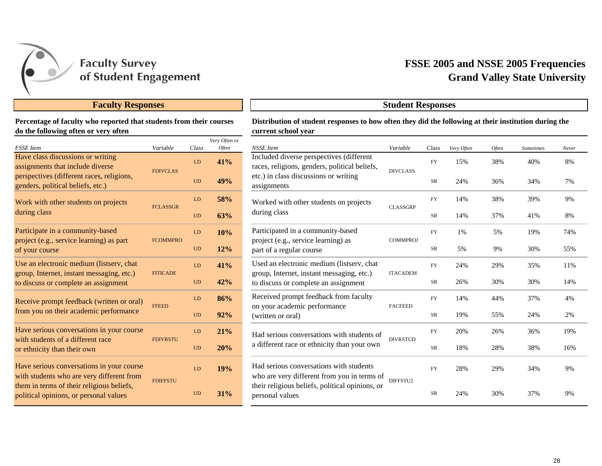

#### **Faculty Responses Student Responses**

#### **Percentage of faculty who reported that students from their courses do the following often or very often**

| <b>FSSE</b> Item                                                                                         | Variable        | Class     | Very Often or<br>Often |
|----------------------------------------------------------------------------------------------------------|-----------------|-----------|------------------------|
| Have class discussions or writing<br>assignments that include diverse                                    | <b>FDIVCLAS</b> | LD        | 41%                    |
| perspectives (different races, religions,<br>genders, political beliefs, etc.)                           |                 | <b>UD</b> | 49%                    |
| Work with other students on projects                                                                     | <b>FCLASSGR</b> | LD        | <b>58%</b>             |
| during class                                                                                             |                 | <b>UD</b> | 63%                    |
| Participate in a community-based<br>project (e.g., service learning) as part                             | <b>FCOMMPRO</b> | LD        | 10%                    |
| of your course                                                                                           |                 | <b>UD</b> | 12%                    |
| Use an electronic medium (listserv, chat<br>group, Internet, instant messaging, etc.)<br><b>FITICADE</b> |                 | LD        | 41%                    |
| to discuss or complete an assignment                                                                     |                 | <b>UD</b> | 42%                    |
| Receive prompt feedback (written or oral)                                                                | <b>FFEED</b>    | LD        | 86%                    |
| from you on their academic performance                                                                   |                 | UD        | 92%                    |
| Have serious conversations in your course<br>with students of a different race                           | <b>FDIVRSTU</b> | LD        | 21%                    |
| or ethnicity than their own                                                                              |                 | <b>UD</b> | 20%                    |
| Have serious conversations in your course<br>with students who are very different from                   | <b>FDIFFSTU</b> | LD        | 19%                    |
| them in terms of their religious beliefs,<br>political opinions, or personal values                      |                 | <b>UD</b> | 31%                    |

## **Grand Valley State University FSSE 2005 and NSSE 2005 Frequencies**

#### **Distribution of student responses to how often they did the following at their institution during the current school year**

|           | Class      | Very Often or<br>Often | <b>NSSE</b> Item                                                                                                               | Variable        | Class     | Very Often | Often | <b>Sometimes</b> | Never |
|-----------|------------|------------------------|--------------------------------------------------------------------------------------------------------------------------------|-----------------|-----------|------------|-------|------------------|-------|
|           | LD         | 41%                    | Included diverse perspectives (different<br>races, religions, genders, political beliefs,                                      | <b>DIVCLASS</b> | <b>FY</b> | 15%        | 38%   | 40%              | 8%    |
|           | <b>UD</b>  | 49%                    | etc.) in class discussions or writing<br>assignments                                                                           |                 | <b>SR</b> | 24%        | 36%   | 34%              | 7%    |
|           | LD         | 58%                    | Worked with other students on projects                                                                                         | <b>CLASSGRP</b> | <b>FY</b> | 14%        | 38%   | 39%              | 9%    |
| <b>UD</b> | 63%        | during class           |                                                                                                                                | <b>SR</b>       | 14%       | 37%        | 41%   | 8%               |       |
| O         | LD         | 10%                    | Participated in a community-based<br>project (e.g., service learning) as                                                       | <b>COMMPROJ</b> | <b>FY</b> | 1%         | 5%    | 19%              | 74%   |
|           | <b>UD</b>  | 12%                    | part of a regular course                                                                                                       |                 | SR        | 5%         | 9%    | 30%              | 55%   |
|           | ${\rm LD}$ | 41%                    | Used an electronic medium (listserv, chat<br>group, Internet, instant messaging, etc.)<br>to discuss or complete an assignment | <b>ITACADEM</b> | <b>FY</b> | 24%        | 29%   | 35%              | 11%   |
|           | <b>UD</b>  | 42%                    |                                                                                                                                |                 | <b>SR</b> | 26%        | 30%   | 30%              | 14%   |
|           | LD         | 86%                    | Received prompt feedback from faculty                                                                                          | <b>FACFEED</b>  | <b>FY</b> | 14%        | 44%   | 37%              | 4%    |
|           | <b>UD</b>  | 92%                    | on your academic performance<br>(written or oral)                                                                              |                 | <b>SR</b> | 19%        | 55%   | 24%              | 2%    |
|           | ${\rm LD}$ | 21%                    | Had serious conversations with students of                                                                                     | <b>DIVRSTUD</b> | <b>FY</b> | 20%        | 26%   | 36%              | 19%   |
|           | <b>UD</b>  | 20%                    | a different race or ethnicity than your own                                                                                    |                 | <b>SR</b> | 18%        | 28%   | 38%              | 16%   |
|           | LD         | 19%                    | Had serious conversations with students<br>who are very different from you in terms of                                         | DIFFSTU2        | <b>FY</b> | 28%        | 29%   | 34%              | 9%    |
|           | <b>UD</b>  | 31%                    | their religious beliefs, political opinions, or<br>personal values                                                             |                 | <b>SR</b> | 24%        | 30%   | 37%              | 9%    |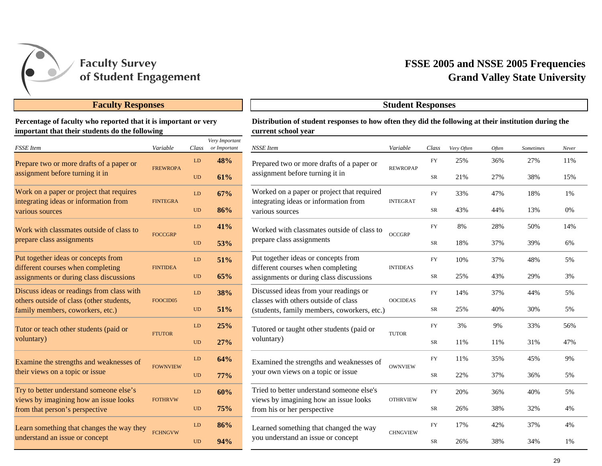

#### **Faculty Responses Student Responses**

#### **Percentage of faculty who reported that it is important or very important that their students do the following**

| <b>FSSE</b> Item                                                                 | Variable             | Class     | Very Important<br>or Important |
|----------------------------------------------------------------------------------|----------------------|-----------|--------------------------------|
| Prepare two or more drafts of a paper or                                         |                      | LD        | 48%                            |
| assignment before turning it in                                                  | <b>FREWROPA</b>      | UD        | 61%                            |
| Work on a paper or project that requires                                         |                      | LD        | 67%                            |
| integrating ideas or information from<br>various sources                         | <b>FINTEGRA</b>      | UD        | 86%                            |
| Work with classmates outside of class to                                         | <b>FOCCGRP</b>       | LD        | 41%                            |
| prepare class assignments                                                        |                      | <b>UD</b> | 53%                            |
| Put together ideas or concepts from<br>different courses when completing         | <b>FINTIDEA</b>      | LD        | 51%                            |
| assignments or during class discussions                                          |                      | <b>UD</b> | 65%                            |
| Discuss ideas or readings from class with                                        | FOOCID <sub>05</sub> | LD        | <b>38%</b>                     |
| others outside of class (other students,<br>family members, coworkers, etc.)     |                      | UD        | 51%                            |
| Tutor or teach other students (paid or                                           | <b>FTUTOR</b>        | LD        | 25%                            |
| voluntary)                                                                       |                      | UD        | 27%                            |
| Examine the strengths and weaknesses of                                          | <b>FOWNVIEW</b>      | LD        | 64%                            |
| their views on a topic or issue                                                  |                      | <b>UD</b> | $77\%$                         |
| Try to better understand someone else's<br>views by imagining how an issue looks | <b>FOTHRVW</b>       | LD        | 60%                            |
| from that person's perspective                                                   |                      | <b>UD</b> | 75%                            |
| Learn something that changes the way they                                        | <b>FCHNGVW</b>       | LD        | 86%                            |
| understand an issue or concept                                                   |                      | <b>UD</b> | 94%                            |

## **Grand Valley State University FSSE 2005 and NSSE 2005 Frequencies**

#### **Distribution of student responses to how often they did the following at their institution during the current school year**

|                | Class     | Very Important<br>or Important             | <b>NSSE</b> Item                                                                    | Variable        | Class     | Very Often | Often | Sometimes | Never |  |
|----------------|-----------|--------------------------------------------|-------------------------------------------------------------------------------------|-----------------|-----------|------------|-------|-----------|-------|--|
| PA             | LD        | 48%                                        | Prepared two or more drafts of a paper or                                           | <b>REWROPAP</b> | <b>FY</b> | 25%        | 36%   | 27%       | 11%   |  |
|                | <b>UD</b> | 61%                                        | assignment before turning it in                                                     |                 | SR        | 21%        | 27%   | 38%       | 15%   |  |
|                | LD        | 67%                                        | Worked on a paper or project that required                                          | <b>INTEGRAT</b> | <b>FY</b> | 33%        | 47%   | 18%       | 1%    |  |
| A              | <b>UD</b> | 86%                                        | integrating ideas or information from<br>various sources                            |                 | SR        | 43%        | 44%   | 13%       | 0%    |  |
| LD<br>$\rm UD$ | 41%       | Worked with classmates outside of class to | <b>OCCGRP</b>                                                                       | <b>FY</b>       | 8%        | 28%        | 50%   | 14%       |       |  |
|                |           | 53%                                        | prepare class assignments                                                           |                 | SR        | 18%        | 37%   | 39%       | 6%    |  |
|                | LD        | 51%                                        | Put together ideas or concepts from                                                 | <b>INTIDEAS</b> | <b>FY</b> | 10%        | 37%   | 48%       | 5%    |  |
|                | <b>UD</b> | 65%                                        | different courses when completing<br>assignments or during class discussions        |                 | SR        | 25%        | 43%   | 29%       | 3%    |  |
| LD             |           | 38%                                        | Discussed ideas from your readings or                                               |                 | <b>FY</b> | 14%        | 37%   | 44%       | 5%    |  |
| 5 <sup>5</sup> | <b>UD</b> | 51%                                        | classes with others outside of class<br>(students, family members, coworkers, etc.) | <b>OOCIDEAS</b> | SR        | 25%        | 40%   | 30%       | 5%    |  |
|                | LD        | 25%                                        | Tutored or taught other students (paid or                                           |                 | <b>FY</b> | 3%         | 9%    | 33%       | 56%   |  |
|                | <b>UD</b> | 27%                                        | voluntary)                                                                          | <b>TUTOR</b>    | SR        | 11%        | 11%   | 31%       | 47%   |  |
|                | LD        | 64%                                        | Examined the strengths and weaknesses of                                            |                 | <b>FY</b> | 11%        | 35%   | 45%       | 9%    |  |
| EW             | <b>UD</b> | 77%                                        | your own views on a topic or issue                                                  | <b>OWNVIEW</b>  | SR        | 22%        | 37%   | 36%       | 5%    |  |
| W              | LD        | 60%                                        | Tried to better understand someone else's                                           |                 | <b>FY</b> | 20%        | 36%   | 40%       | 5%    |  |
|                | <b>UD</b> | 75%                                        | views by imagining how an issue looks<br>from his or her perspective                | <b>OTHRVIEW</b> | SR        | 26%        | 38%   | 32%       | 4%    |  |
|                | LD        | 86%                                        | Learned something that changed the way                                              |                 | <b>FY</b> | 17%        | 42%   | 37%       | 4%    |  |
| W              | <b>UD</b> | 94%                                        | you understand an issue or concept                                                  | <b>CHNGVIEW</b> | SR        | 26%        | 38%   | 34%       | 1%    |  |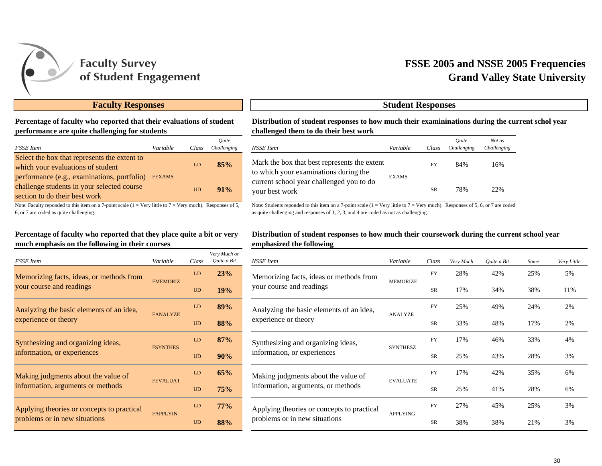

## **Grand Valley State University FSSE 2005 and NSSE 2005 Frequencies**

#### **Faculty Responses Student Responses**

#### **Percentage of faculty who reported that their evaluations of student performance are quite challenging for students**

| <b>FSSE</b> Item                                                                                                           | Variable      | Class | Ouite<br>Challenging |
|----------------------------------------------------------------------------------------------------------------------------|---------------|-------|----------------------|
| Select the box that represents the extent to<br>which your evaluations of student                                          |               | LD    | 85%                  |
| performance (e.g., examinations, portfolio)<br>challenge students in your selected course<br>section to do their best work | <b>FEXAMS</b> | UD    | $91\%$               |

Note: Faculty reponded to this item on a 7-point scale  $(1 = Very)$  little to  $7 = Very$  much). Responses of 5, 6, or 7 are coded as quite challenging.

#### **Percentage of faculty who reported that they place quite a bit or very much emphasis on the following in their courses**

| <b>FSSE</b> Item                           | Variable        | Class | Very Much or<br>Ouite a Bit |
|--------------------------------------------|-----------------|-------|-----------------------------|
| Memorizing facts, ideas, or methods from   | <b>FMEMORIZ</b> | LD    | 23%                         |
| your course and readings                   |                 | UD    | 19%                         |
| Analyzing the basic elements of an idea,   | <b>FANALYZE</b> | LD    | 89%                         |
| experience or theory                       |                 | UD    | 88%                         |
| Synthesizing and organizing ideas,         | <b>FSYNTHES</b> | LD    | 87%                         |
| information, or experiences                |                 | UD    | 90%                         |
| Making judgments about the value of        | <b>FEVALUAT</b> | LD    | 65%                         |
| information, arguments or methods          |                 | UD    | 75%                         |
| Applying theories or concepts to practical | <b>FAPPLYIN</b> | LD    | $77\%$                      |
| problems or in new situations              |                 | UD    | 88%                         |

**Distribution of student responses to how much their examininations during the current schol year challenged them to do their best work**

| e | Class     | Ouite<br>Challenging | NSSE Item                                                                             | Variable           | Class     | Ouite<br>Challenging | Not as<br>Challenging |
|---|-----------|----------------------|---------------------------------------------------------------------------------------|--------------------|-----------|----------------------|-----------------------|
|   | LD        | 85%                  | Mark the box that best represents the extent<br>to which your examinations during the | FY<br><b>EXAMS</b> |           | 84%                  | 16%                   |
|   | <b>UD</b> | 91%                  | current school year challenged you to do<br>your best work                            |                    | <b>SR</b> | 78%                  | 22%                   |

Note: Students reponded to this item on a 7-point scale  $(1 = \text{Very little to 7} = \text{Very much})$ . Responses of 5, 6, or 7 are coded as quite challenging and responses of 1, 2, 3, and 4 are coded as not as challenging.

#### **Distribution of student responses to how much their coursework during the current school year emphasized the following**

| ery Much or<br>Quite a Bit | NSSE Item                                                                   | Variable        | Class     | Very Much | Quite a Bit | Some | Very Little |
|----------------------------|-----------------------------------------------------------------------------|-----------------|-----------|-----------|-------------|------|-------------|
| 23%                        | Memorizing facts, ideas or methods from                                     | <b>MEMORIZE</b> | <b>FY</b> | 28%       | 42%         | 25%  | 5%          |
| 19%                        | your course and readings                                                    |                 | <b>SR</b> | 17%       | 34%         | 38%  | 11%         |
| 89%                        | Analyzing the basic elements of an idea,<br>experience or theory            | <b>ANALYZE</b>  | <b>FY</b> | 25%       | 49%         | 24%  | 2%          |
| 88%                        |                                                                             |                 | <b>SR</b> | 33%       | 48%         | 17%  | 2%          |
| 87%                        | Synthesizing and organizing ideas,                                          |                 | <b>FY</b> | 17%       | 46%         | 33%  | 4%          |
| 90%                        | information, or experiences                                                 | <b>SYNTHESZ</b> | SR        | 25%       | 43%         | 28%  | 3%          |
| 65%                        | Making judgments about the value of                                         |                 | <b>FY</b> | 17%       | 42%         | 35%  | 6%          |
| 75%                        | information, arguments, or methods                                          | <b>EVALUATE</b> | <b>SR</b> | 25%       | 41%         | 28%  | 6%          |
| 77%                        | Applying theories or concepts to practical<br>problems or in new situations | <b>APPLYING</b> | <b>FY</b> | 27%       | 45%         | 25%  | 3%          |
| 88%                        |                                                                             |                 | <b>SR</b> | 38%       | 38%         | 21%  | 3%          |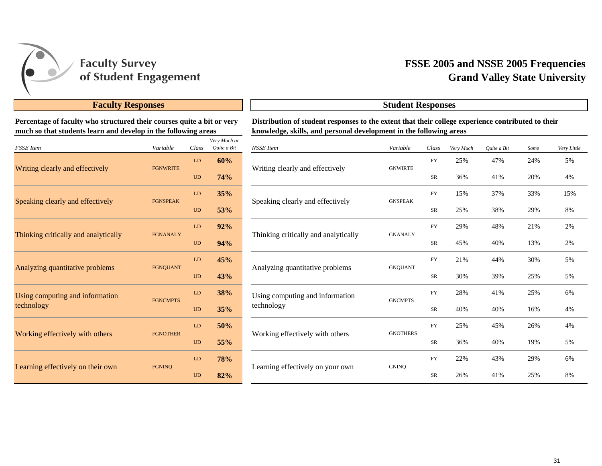

## **Grand Valley State University FSSE 2005 and NSSE 2005 Frequencies**

### **Faculty Responses Student Responses**

**Percentage of faculty who structured their courses quite a bit or very much so that students learn and develop in the following areas**

| <b>FSSE</b> Item                     | Variable        | Class     | Very Much or<br>Quite a Bit |
|--------------------------------------|-----------------|-----------|-----------------------------|
|                                      |                 | LD        | 60%                         |
| Writing clearly and effectively      | <b>FGNWRITE</b> | <b>UD</b> | 74%                         |
| Speaking clearly and effectively     | <b>FGNSPEAK</b> | LD        | 35%                         |
|                                      |                 | <b>UD</b> | 53%                         |
| Thinking critically and analytically | <b>FGNANALY</b> | LD        | 92%                         |
|                                      |                 | <b>UD</b> | 94%                         |
| Analyzing quantitative problems      | <b>FGNQUANT</b> | LD        | 45%                         |
|                                      |                 | <b>UD</b> | 43%                         |
| Using computing and information      | <b>FGNCMPTS</b> | LD        | <b>38%</b>                  |
| technology                           |                 | <b>UD</b> | 35%                         |
| Working effectively with others      | <b>FGNOTHER</b> | LD        | 50%                         |
|                                      |                 | <b>UD</b> | 55%                         |
|                                      | <b>FGNINO</b>   | LD        | <b>78%</b>                  |
| Learning effectively on their own    |                 | <b>UD</b> | 82%                         |

#### **Distribution of student responses to the extent that their college experience contributed to their knowledge, skills, and personal development in the following areas**

| ery Much or<br>Quite a Bit | NSSE Item                            | Variable        | Class      | Very Much | Quite a Bit | Some | Very Little |
|----------------------------|--------------------------------------|-----------------|------------|-----------|-------------|------|-------------|
| 60%                        | Writing clearly and effectively      | <b>GNWIRTE</b>  | <b>FY</b>  | 25%       | 47%         | 24%  | 5%          |
| 74%                        |                                      |                 | ${\rm SR}$ | 36%       | 41%         | 20%  | 4%          |
| 35%                        |                                      |                 | <b>FY</b>  | 15%       | 37%         | 33%  | 15%         |
| 53%                        | Speaking clearly and effectively     | <b>GNSPEAK</b>  | SR         | 25%       | 38%         | 29%  | 8%          |
| 92%                        | Thinking critically and analytically |                 | <b>FY</b>  | 29%       | 48%         | 21%  | 2%          |
| 94%                        |                                      | <b>GNANALY</b>  | SR         | 45%       | 40%         | 13%  | 2%          |
| 45%                        |                                      |                 | <b>FY</b>  | 21%       | 44%         | 30%  | 5%          |
| 43%                        | Analyzing quantitative problems      | <b>GNQUANT</b>  | SR         | 30%       | 39%         | 25%  | 5%          |
| 38%                        | Using computing and information      | <b>GNCMPTS</b>  | <b>FY</b>  | 28%       | 41%         | 25%  | 6%          |
| 35%                        | technology                           |                 | SR         | 40%       | 40%         | 16%  | 4%          |
| 50%                        |                                      |                 | <b>FY</b>  | 25%       | 45%         | 26%  | 4%          |
| 55%                        | Working effectively with others      | <b>GNOTHERS</b> | SR         | 36%       | 40%         | 19%  | 5%          |
| 78%                        |                                      |                 | <b>FY</b>  | 22%       | 43%         | 29%  | 6%          |
| 82%                        | Learning effectively on your own     | <b>GNINO</b>    | SR         | 26%       | 41%         | 25%  | 8%          |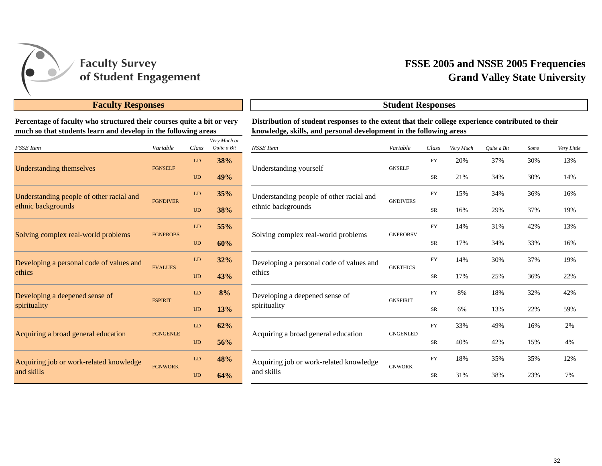

## **Grand Valley State University FSSE 2005 and NSSE 2005 Frequencies**

## **Faculty Responses Student Responses**

**Percentage of faculty who structured their courses quite a bit or very much so that students learn and develop in the following areas**

| <b>FSSE</b> Item                         | Variable        | Class     | Very Much or<br>Quite a Bit |
|------------------------------------------|-----------------|-----------|-----------------------------|
|                                          | <b>FGNSELF</b>  | LD        | 38%                         |
| <b>Understanding themselves</b>          |                 | <b>UD</b> | 49%                         |
| Understanding people of other racial and | <b>FGNDIVER</b> | LD        | 35%                         |
| ethnic backgrounds                       |                 | <b>UD</b> | <b>38%</b>                  |
|                                          | <b>FGNPROBS</b> | LD        | 55%                         |
| Solving complex real-world problems      |                 | <b>UD</b> | 60%                         |
| Developing a personal code of values and | <b>FVALUES</b>  | LD        | 32%                         |
| ethics                                   |                 | <b>UD</b> | 43%                         |
| Developing a deepened sense of           | <b>FSPIRIT</b>  | LD        | 8%                          |
| spirituality                             |                 | <b>UD</b> | 13%                         |
|                                          | <b>FGNGENLE</b> | LD        | 62%                         |
| Acquiring a broad general education      |                 | <b>UD</b> | 56%                         |
| Acquiring job or work-related knowledge  |                 | LD        | 48%                         |
| and skills                               | <b>FGNWORK</b>  | <b>UD</b> | 64%                         |

| Distribution of student responses to the extent that their college experience contributed to their |
|----------------------------------------------------------------------------------------------------|
| knowledge, skills, and personal development in the following areas                                 |
|                                                                                                    |

| ery Much or<br>Quite a Bit | <b>NSSE</b> Item                         | Variable        | Class      | Very Much | Quite a Bit | Some | Very Little |
|----------------------------|------------------------------------------|-----------------|------------|-----------|-------------|------|-------------|
| 38%                        |                                          |                 | <b>FY</b>  | 20%       | 37%         | 30%  | 13%         |
| 49%                        | Understanding yourself                   | <b>GNSELF</b>   | ${\rm SR}$ | 21%       | 34%         | 30%  | 14%         |
| 35%                        | Understanding people of other racial and | <b>GNDIVERS</b> | <b>FY</b>  | 15%       | 34%         | 36%  | 16%         |
| 38%                        | ethnic backgrounds                       |                 | SR         | 16%       | 29%         | 37%  | 19%         |
| 55%                        |                                          | <b>GNPROBSV</b> | <b>FY</b>  | 14%       | 31%         | 42%  | 13%         |
| 60%                        | Solving complex real-world problems      |                 | SR         | 17%       | 34%         | 33%  | 16%         |
| 32%                        | Developing a personal code of values and | <b>GNETHICS</b> | <b>FY</b>  | 14%       | 30%         | 37%  | 19%         |
| 43%                        | ethics                                   |                 | SR         | 17%       | 25%         | 36%  | 22%         |
| 8%                         | Developing a deepened sense of           | <b>GNSPIRIT</b> | <b>FY</b>  | 8%        | 18%         | 32%  | 42%         |
| 13%                        | spirituality                             |                 | SR         | 6%        | 13%         | 22%  | 59%         |
| 62%                        |                                          | <b>GNGENLED</b> | <b>FY</b>  | 33%       | 49%         | 16%  | 2%          |
| 56%                        | Acquiring a broad general education      |                 | SR         | 40%       | 42%         | 15%  | 4%          |
| 48%                        | Acquiring job or work-related knowledge  |                 | FY         | 18%       | 35%         | 35%  | 12%         |
| 64%                        | and skills                               | <b>GNWORK</b>   | SR         | 31%       | 38%         | 23%  | 7%          |
|                            |                                          |                 |            |           |             |      |             |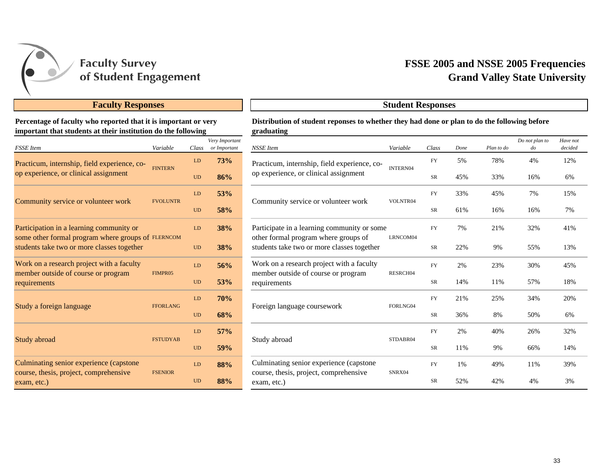

#### **Faculty Responses Student Responses**

#### **Percentage of faculty who reported that it is important or very important that students at their institution do the following**

| <b>FSSE</b> Item                                                                                 | Variable        | Class     | Very Important<br>or Important |
|--------------------------------------------------------------------------------------------------|-----------------|-----------|--------------------------------|
| Practicum, internship, field experience, co-                                                     |                 | LD        | 73%                            |
| op experience, or clinical assignment                                                            | <b>FINTERN</b>  | UD        | 86%                            |
| Community service or volunteer work                                                              | <b>FVOLUNTR</b> | LD        | 53%                            |
|                                                                                                  |                 | UD        | <b>58%</b>                     |
| Participation in a learning community or                                                         |                 | LD        | <b>38%</b>                     |
| some other formal program where groups of FLERNCOM<br>students take two or more classes together |                 | <b>UD</b> | 38%                            |
| Work on a research project with a faculty                                                        | FIMPR05         | LD        | 56%                            |
| member outside of course or program<br>requirements                                              |                 | <b>UD</b> | 53%                            |
|                                                                                                  | <b>FFORLANG</b> | LD        | 70%                            |
| Study a foreign language                                                                         |                 | UD        | 68%                            |
|                                                                                                  |                 | LD        | 57%                            |
| Study abroad                                                                                     | <b>FSTUDYAB</b> | <b>UD</b> | 59%                            |
| Culminating senior experience (capstone                                                          |                 | LD        | 88%                            |
| course, thesis, project, comprehensive<br>exam, etc.)                                            | <b>FSENIOR</b>  | UD        | 88%                            |

## **Grand Valley State University FSSE 2005 and NSSE 2005 Frequencies**

#### **Distribution of student reponses to whether they had done or plan to do the following before graduating**

| ery Important<br>or Important | <b>NSSE</b> Item                                                                   | Variable | Class     | Done | Plan to do | Do not plan to<br>$d$ o | Have not<br>decided                                                                 |  |
|-------------------------------|------------------------------------------------------------------------------------|----------|-----------|------|------------|-------------------------|-------------------------------------------------------------------------------------|--|
| 73%                           | Practicum, internship, field experience, co-                                       | INTERN04 | <b>FY</b> | 5%   | 78%        | 4%                      | 12%                                                                                 |  |
| 86%                           | op experience, or clinical assignment                                              |          | <b>SR</b> | 45%  | 33%        | 16%                     | 6%<br>15%<br>7%<br>41%<br>13%<br>45%<br>18%<br>20%<br>6%<br>32%<br>14%<br>39%<br>3% |  |
| 53%                           |                                                                                    |          | <b>FY</b> | 33%  | 45%        | 7%                      |                                                                                     |  |
| 58%                           | Community service or volunteer work                                                | VOLNTR04 | <b>SR</b> | 61%  | 16%        | 16%                     |                                                                                     |  |
| 38%                           | Participate in a learning community or some                                        |          | <b>FY</b> | 7%   | 21%        | 32%                     |                                                                                     |  |
| 38%                           | other formal program where groups of<br>students take two or more classes together | LRNCOM04 | SR        | 22%  | 9%         | 55%                     |                                                                                     |  |
| 56%                           | Work on a research project with a faculty                                          |          | <b>FY</b> | 2%   | 23%        | 30%                     |                                                                                     |  |
| 53%                           | member outside of course or program<br>requirements                                | RESRCH04 | SR        | 14%  | 11%        | 57%                     |                                                                                     |  |
| <b>70%</b>                    |                                                                                    |          | <b>FY</b> | 21%  | 25%        | 34%                     |                                                                                     |  |
| 68%                           | Foreign language coursework                                                        | FORLNG04 | SR        | 36%  | 8%         | 50%                     |                                                                                     |  |
| 57%                           |                                                                                    |          | <b>FY</b> | 2%   | 40%        | 26%                     |                                                                                     |  |
| 59%                           | Study abroad                                                                       | STDABR04 | <b>SR</b> | 11%  | 9%         | 66%                     |                                                                                     |  |
| 88%                           | Culminating senior experience (capstone                                            |          | <b>FY</b> | 1%   | 49%        | 11%                     |                                                                                     |  |
| 88%                           | course, thesis, project, comprehensive<br>exam, etc.)                              | SNRX04   | <b>SR</b> | 52%  | 42%        | 4%                      |                                                                                     |  |
|                               |                                                                                    |          |           |      |            |                         |                                                                                     |  |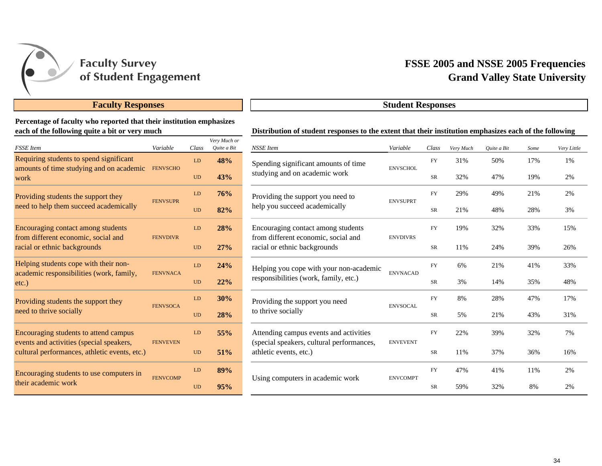

## **Faculty Responses Student Responses**

#### **Percentage of faculty who reported that their institution emphasizes each of the following quite a bit or very much**

| <b>FSSE</b> Item                                                                  | Variable        | Class     | Very Much or<br>Quite a Bit |
|-----------------------------------------------------------------------------------|-----------------|-----------|-----------------------------|
| Requiring students to spend significant                                           |                 | LD        | 48%                         |
| amounts of time studying and on academic<br>work                                  | <b>FENVSCHO</b> | <b>UD</b> | 43%                         |
| Providing students the support they                                               | <b>FENVSUPR</b> | LD        | 76%                         |
| need to help them succeed academically                                            |                 | UD        | 82%                         |
| Encouraging contact among students<br>from different economic, social and         |                 |           | 28%                         |
| racial or ethnic backgrounds                                                      | <b>FENVDIVR</b> | <b>UD</b> | 27%                         |
| Helping students cope with their non-<br>academic responsibilities (work, family, | <b>FENVNACA</b> | LD        | 24%                         |
| $etc.$ )                                                                          |                 | <b>UD</b> | 22%                         |
| Providing students the support they                                               | <b>FENVSOCA</b> | LD        | 30%                         |
| need to thrive socially                                                           |                 | <b>UD</b> | 28%                         |
| Encouraging students to attend campus<br>events and activities (special speakers, | <b>FENVEVEN</b> | LD        | 55%                         |
| cultural performances, athletic events, etc.)                                     |                 | <b>UD</b> | 51%                         |
| Encouraging students to use computers in                                          | <b>FENVCOMP</b> | LD        | 89%                         |
| their academic work                                                               |                 | <b>UD</b> | 95%                         |

| памасы                     | Distribution of student responses to the extent that their institution emphasizes each of the following |                 |            |           |             |      |             |
|----------------------------|---------------------------------------------------------------------------------------------------------|-----------------|------------|-----------|-------------|------|-------------|
| ery Much or<br>Quite a Bit | <b>NSSE</b> Item                                                                                        | Variable        | Class      | Very Much | Quite a Bit | Some | Very Little |
| 48%                        | Spending significant amounts of time                                                                    | <b>ENVSCHOL</b> | <b>FY</b>  | 31%       | 50%         | 17%  | 1%          |
| 43%                        | studying and on academic work                                                                           |                 | SR         | 32%       | 47%         | 19%  | 2%          |
| 76%                        | Providing the support you need to<br>help you succeed academically                                      | <b>ENVSUPRT</b> | <b>FY</b>  | 29%       | 49%         | 21%  | 2%          |
| 82%                        |                                                                                                         |                 | SR         | 21%       | 48%         | 28%  | 3%          |
| 28%                        | Encouraging contact among students<br>from different economic, social and                               | <b>ENVDIVRS</b> | FY         | 19%       | 32%         | 33%  | 15%         |
| 27%                        | racial or ethnic backgrounds                                                                            |                 | ${\rm SR}$ | 11%       | 24%         | 39%  | 26%         |
| 24%                        | Helping you cope with your non-academic                                                                 | <b>ENVNACAD</b> | <b>FY</b>  | 6%        | 21%         | 41%  | 33%         |
| 22%                        | responsibilities (work, family, etc.)                                                                   |                 | SR         | 3%        | 14%         | 35%  | 48%         |
| 30%                        | Providing the support you need                                                                          | <b>ENVSOCAL</b> | ${\rm FY}$ | 8%        | 28%         | 47%  | 17%         |
| 28%                        | to thrive socially                                                                                      |                 | SR         | 5%        | 21%         | 43%  | 31%         |
| 55%                        | Attending campus events and activities<br>(special speakers, cultural performances,                     | <b>ENVEVENT</b> | <b>FY</b>  | 22%       | 39%         | 32%  | 7%          |
| 51%                        | athletic events, etc.)                                                                                  |                 | ${\rm SR}$ | 11%       | 37%         | 36%  | 16%         |
| 89%                        | Using computers in academic work                                                                        | <b>ENVCOMPT</b> | <b>FY</b>  | 47%       | 41%         | 11%  | 2%          |
| 95%                        |                                                                                                         |                 | <b>SR</b>  | 59%       | 32%         | 8%   | 2%          |

## **Grand Valley State University FSSE 2005 and NSSE 2005 Frequencies**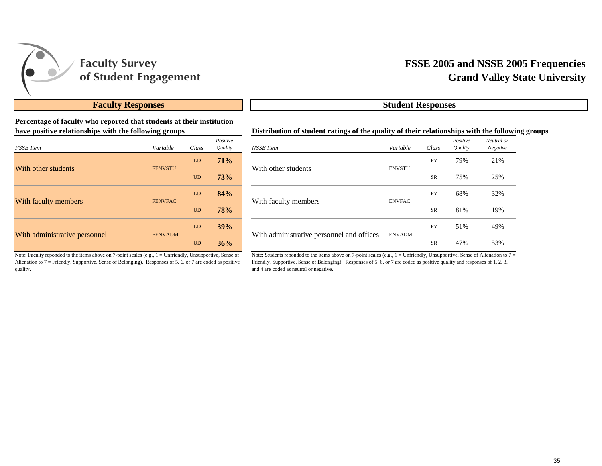

#### **Percentage of faculty who reported that students at their institution have positive relationships with the following groups**

| <b>FSSE</b> Item              | Variable       | Class     | Positive<br>Quality |
|-------------------------------|----------------|-----------|---------------------|
|                               | <b>FENVSTU</b> | LD        | 71%                 |
| With other students           |                | <b>UD</b> | 73%                 |
|                               | <b>FENVFAC</b> | LD        | 84%                 |
| With faculty members          |                | <b>UD</b> | <b>78%</b>          |
|                               | <b>FENVADM</b> | LD        | 39%                 |
| With administrative personnel |                | <b>UD</b> | 36%                 |

## **Grand Valley State University FSSE 2005 and NSSE 2005 Frequencies**

#### **Faculty Responses Student Responses**

#### **Distribution of student ratings of the quality of their relationships with the following groups**

| Positive<br>Quality | NSSE Item                                 | Variable      | Class     | Positive<br><i><b>Ouality</b></i> | Neutral or<br>Negative |
|---------------------|-------------------------------------------|---------------|-----------|-----------------------------------|------------------------|
| 71%                 | With other students                       | <b>ENVSTU</b> | <b>FY</b> | 79%                               | 21%                    |
| <b>73%</b>          |                                           |               | <b>SR</b> | 75%                               | 25%                    |
| 84%                 | With faculty members                      |               | <b>FY</b> | 68%                               | 32%                    |
| 78%                 |                                           | <b>ENVFAC</b> | <b>SR</b> | 81%                               | 19%                    |
| 39%                 | With administrative personnel and offices |               | <b>FY</b> | 51%                               | 49%                    |
| 36%                 |                                           | <b>ENVADM</b> | <b>SR</b> | 47%                               | 53%                    |

Note: Faculty reponded to the items above on 7-point scales (e.g., 1 = Unfriendly, Unsupportive, Sense of Alienation to 7 = Friendly, Supportive, Sense of Belonging). Responses of 5, 6, or 7 are coded as positive quality.

Note: Students reponded to the items above on 7-point scales (e.g., 1 = Unfriendly, Unsupportive, Sense of Alienation to 7 = Friendly, Supportive, Sense of Belonging). Responses of 5, 6, or 7 are coded as positive quality and responses of 1, 2, 3, and 4 are coded as neutral or negative.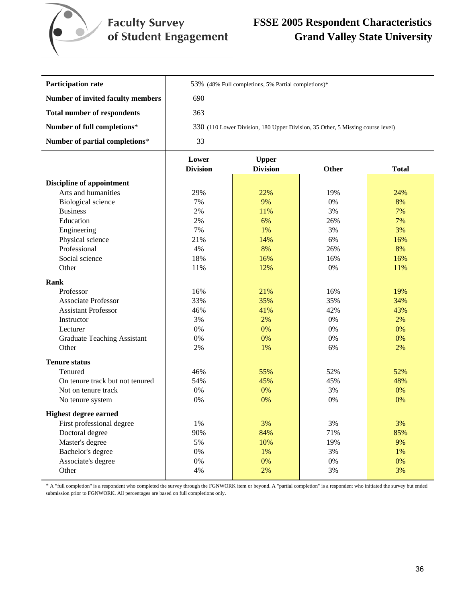

## **FSSE 2005 Respondent Characteristics Grand Valley State University**

| <b>Participation rate</b>                | 53% (48% Full completions, 5% Partial completions)*                            |
|------------------------------------------|--------------------------------------------------------------------------------|
| <b>Number of invited faculty members</b> | 690                                                                            |
| <b>Total number of respondents</b>       | 363                                                                            |
| Number of full completions*              | 330 (110 Lower Division, 180 Upper Division, 35 Other, 5 Missing course level) |
| Number of partial completions*           | 33                                                                             |

|                                    | Lower           | <b>Upper</b>    |              |              |
|------------------------------------|-----------------|-----------------|--------------|--------------|
|                                    | <b>Division</b> | <b>Division</b> | <b>Other</b> | <b>Total</b> |
| <b>Discipline of appointment</b>   |                 |                 |              |              |
| Arts and humanities                | 29%             | 22%             | 19%          | 24%          |
| <b>Biological</b> science          | 7%              | 9%              | 0%           | 8%           |
| <b>Business</b>                    | 2%              | 11%             | 3%           | 7%           |
| Education                          | 2%              | 6%              | 26%          | 7%           |
| Engineering                        | 7%              | 1%              | 3%           | 3%           |
| Physical science                   | 21%             | 14%             | 6%           | 16%          |
| Professional                       | 4%              | 8%              | 26%          | 8%           |
| Social science                     | 18%             | 16%             | 16%          | 16%          |
| Other                              | 11%             | 12%             | 0%           | 11%          |
| Rank                               |                 |                 |              |              |
| Professor                          | 16%             | 21%             | 16%          | 19%          |
| <b>Associate Professor</b>         | 33%             | 35%             | 35%          | 34%          |
| <b>Assistant Professor</b>         | 46%             | 41%             | 42%          | 43%          |
| Instructor                         | 3%              | 2%              | 0%           | 2%           |
| Lecturer                           | 0%              | 0%              | 0%           | 0%           |
| <b>Graduate Teaching Assistant</b> | 0%              | 0%              | 0%           | 0%           |
| Other                              | 2%              | 1%              | 6%           | 2%           |
| <b>Tenure status</b>               |                 |                 |              |              |
| Tenured                            | 46%             | 55%             | 52%          | 52%          |
| On tenure track but not tenured    | 54%             | 45%             | 45%          | 48%          |
| Not on tenure track                | 0%              | 0%              | 3%           | 0%           |
| No tenure system                   | 0%              | 0%              | 0%           | 0%           |
| <b>Highest degree earned</b>       |                 |                 |              |              |
| First professional degree          | 1%              | 3%              | 3%           | 3%           |
| Doctoral degree                    | 90%             | 84%             | 71%          | 85%          |
| Master's degree                    | 5%              | 10%             | 19%          | 9%           |
| Bachelor's degree                  | 0%              | 1%              | 3%           | 1%           |
| Associate's degree                 | 0%              | 0%              | 0%           | 0%           |
| Other                              | 4%              | 2%              | 3%           | 3%           |

\* A "full completion" is a respondent who completed the survey through the FGNWORK item or beyond. A "partial completion" is a respondent who initiated the survey but ended submission prior to FGNWORK. All percentages are based on full completions only.